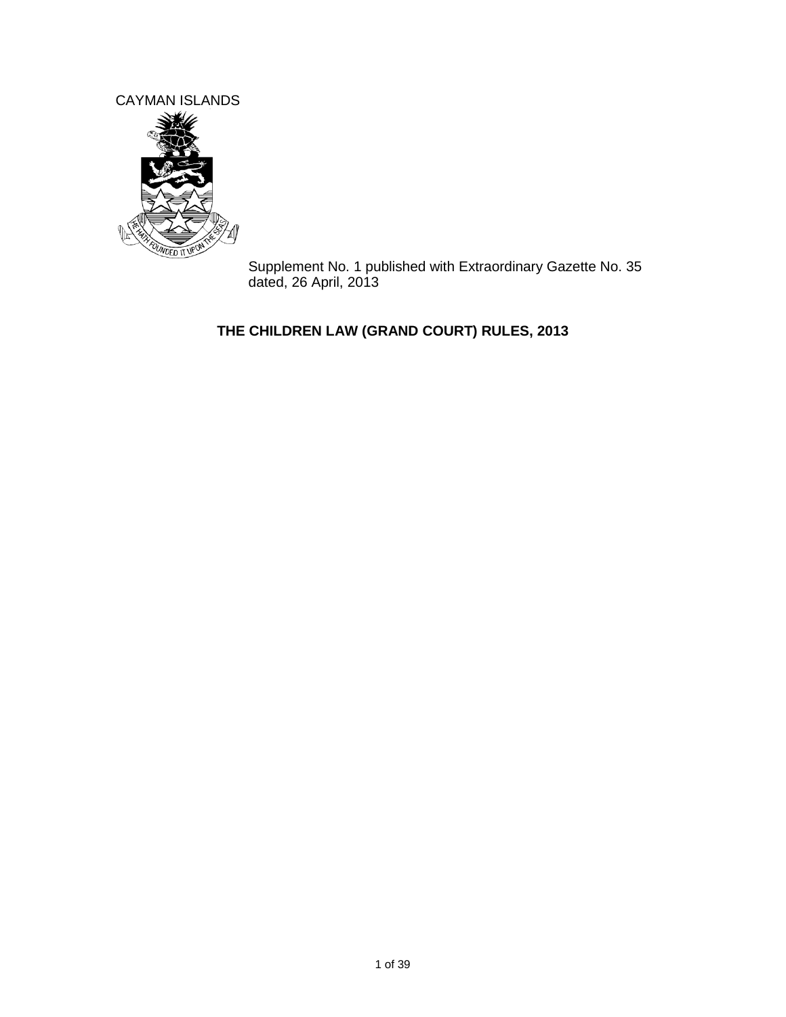CAYMAN ISLANDS



Supplement No. 1 published with Extraordinary Gazette No. 35 dated, 26 April, 2013

# **THE CHILDREN LAW (GRAND COURT) RULES, 2013**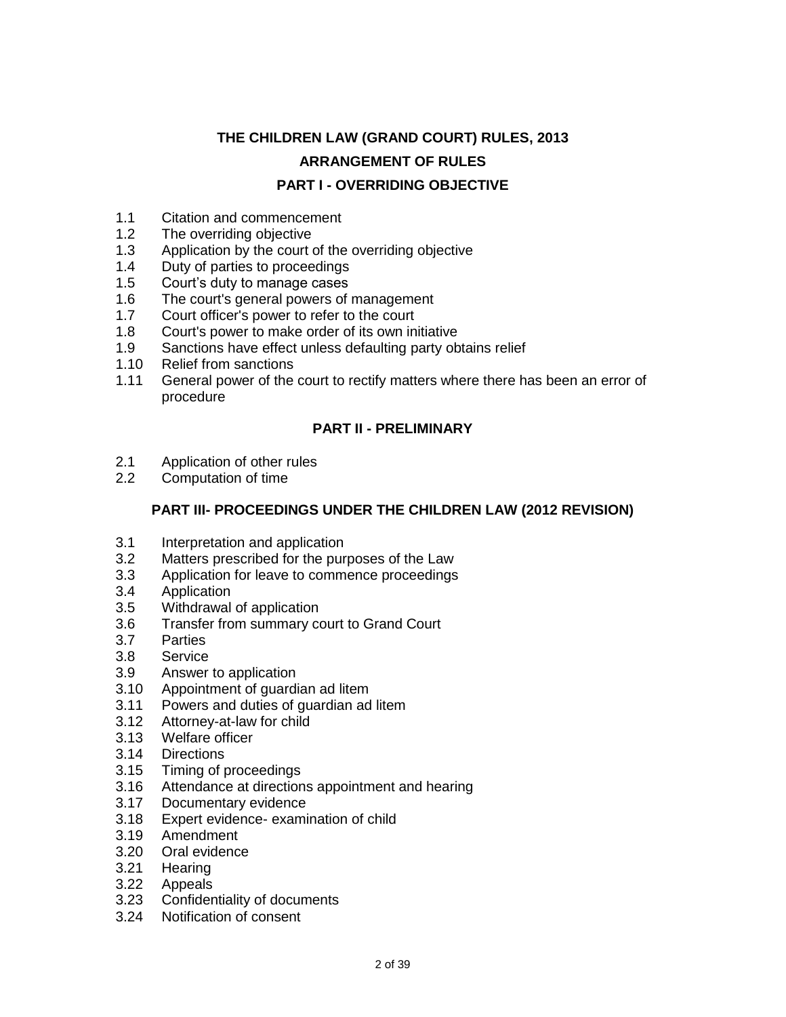# **THE CHILDREN LAW (GRAND COURT) RULES, 2013 ARRANGEMENT OF RULES PART I - OVERRIDING OBJECTIVE**

- 1.1 Citation and commencement<br>1.2 The overriding objective
- The overriding objective
- 1.3 Application by the court of the overriding objective
- 1.4 Duty of parties to proceedings
- 1.5 Court's duty to manage cases
- 1.6 The court's general powers of management
- 1.7 Court officer's power to refer to the court
- 1.8 Court's power to make order of its own initiative
- 1.9 Sanctions have effect unless defaulting party obtains relief
- 1.10 Relief from sanctions
- 1.11 General power of the court to rectify matters where there has been an error of procedure

### **PART II - PRELIMINARY**

- 2.1 Application of other rules
- 2.2 Computation of time

### **PART III- PROCEEDINGS UNDER THE CHILDREN LAW (2012 REVISION)**

- 3.1 Interpretation and application
- 3.2 Matters prescribed for the purposes of the Law
- 3.3 Application for leave to commence proceedings
- 3.4 Application
- 3.5 Withdrawal of application
- 3.6 Transfer from summary court to Grand Court
- 3.7 Parties
- 3.8 Service
- 3.9 Answer to application
- 3.10 Appointment of guardian ad litem
- 3.11 Powers and duties of guardian ad litem
- 3.12 Attorney-at-law for child
- 3.13 Welfare officer
- 3.14 Directions
- 3.15 Timing of proceedings
- 3.16 Attendance at directions appointment and hearing
- 3.17 Documentary evidence
- 3.18 Expert evidence- examination of child
- 3.19 Amendment
- 3.20 Oral evidence
- 3.21 Hearing
- 3.22 Appeals
- 3.23 Confidentiality of documents
- 3.24 Notification of consent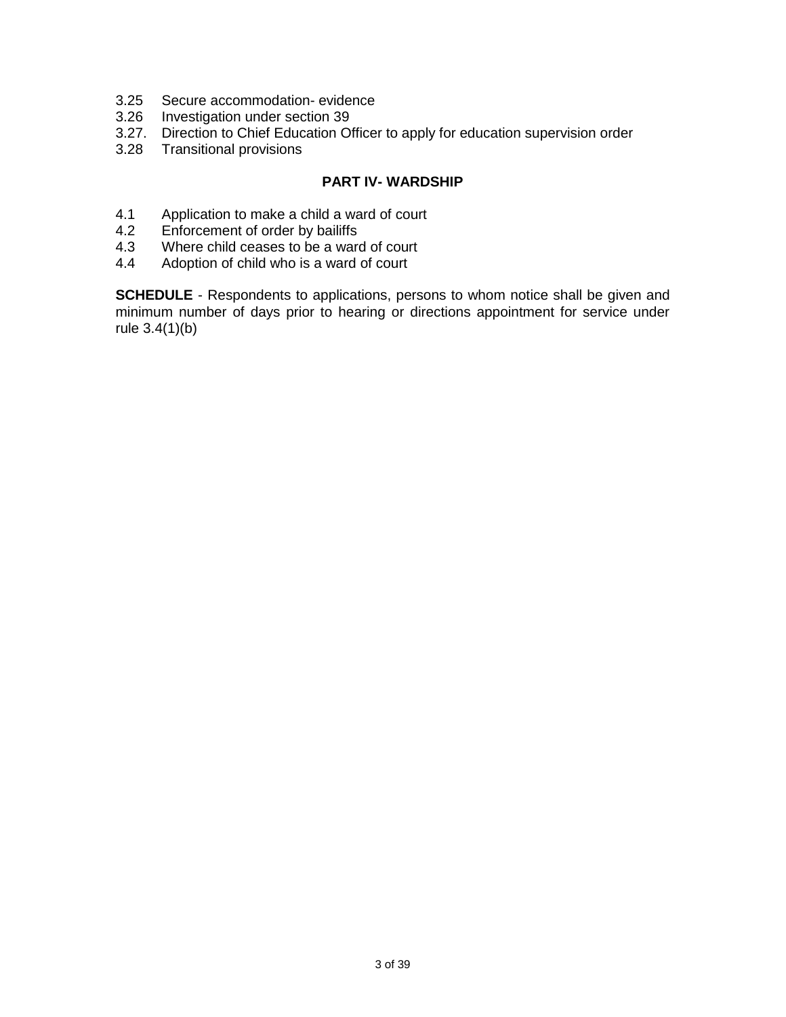- 3.25 Secure accommodation- evidence
- 3.26 Investigation under section 39
- 3.27. Direction to Chief Education Officer to apply for education supervision order
- 3.28 Transitional provisions

#### **PART IV- WARDSHIP**

- 4.1 Application to make a child a ward of court
- 4.2 Enforcement of order by bailiffs
- 4.3 Where child ceases to be a ward of court<br>4.4 Adoption of child who is a ward of court
- Adoption of child who is a ward of court

**SCHEDULE** - Respondents to applications, persons to whom notice shall be given and minimum number of days prior to hearing or directions appointment for service under rule 3.4(1)(b)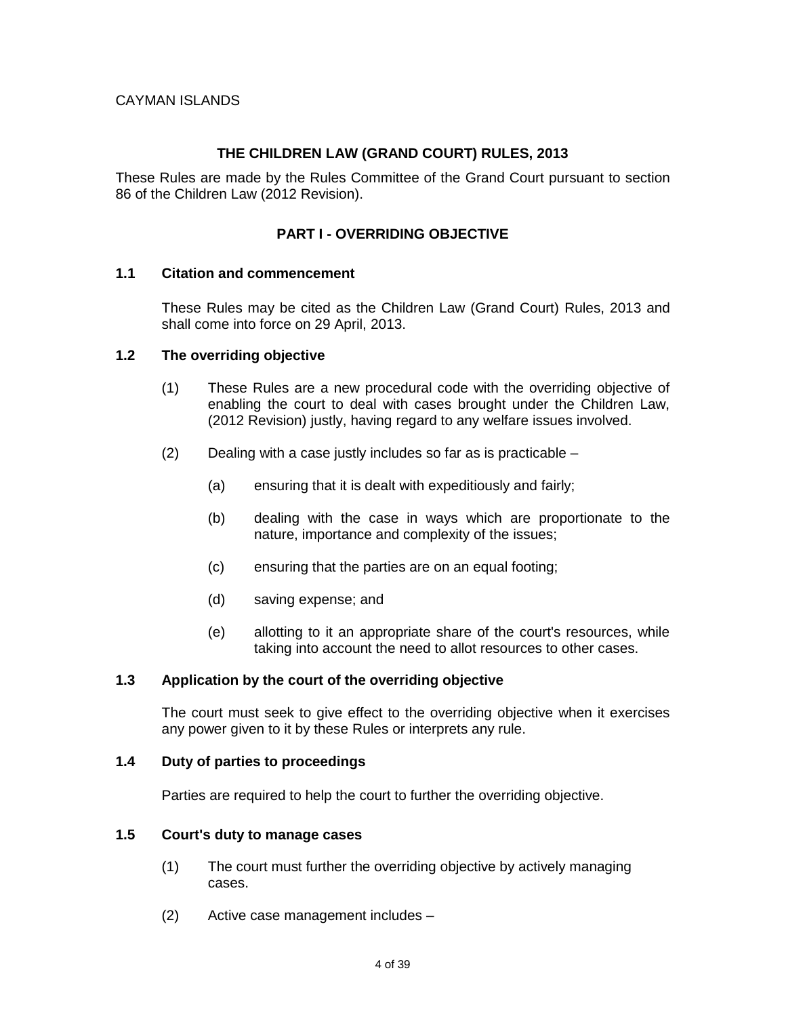#### **THE CHILDREN LAW (GRAND COURT) RULES, 2013**

These Rules are made by the Rules Committee of the Grand Court pursuant to section 86 of the Children Law (2012 Revision).

### **PART I - OVERRIDING OBJECTIVE**

#### **1.1 Citation and commencement**

These Rules may be cited as the Children Law (Grand Court) Rules, 2013 and shall come into force on 29 April, 2013.

#### **1.2 The overriding objective**

- (1) These Rules are a new procedural code with the overriding objective of enabling the court to deal with cases brought under the Children Law, (2012 Revision) justly, having regard to any welfare issues involved.
- (2) Dealing with a case justly includes so far as is practicable
	- (a) ensuring that it is dealt with expeditiously and fairly;
	- (b) dealing with the case in ways which are proportionate to the nature, importance and complexity of the issues;
	- (c) ensuring that the parties are on an equal footing;
	- (d) saving expense; and
	- (e) allotting to it an appropriate share of the court's resources, while taking into account the need to allot resources to other cases.

#### **1.3 Application by the court of the overriding objective**

The court must seek to give effect to the overriding objective when it exercises any power given to it by these Rules or interprets any rule.

#### **1.4 Duty of parties to proceedings**

Parties are required to help the court to further the overriding objective.

#### **1.5 Court's duty to manage cases**

- (1) The court must further the overriding objective by actively managing cases.
- (2) Active case management includes –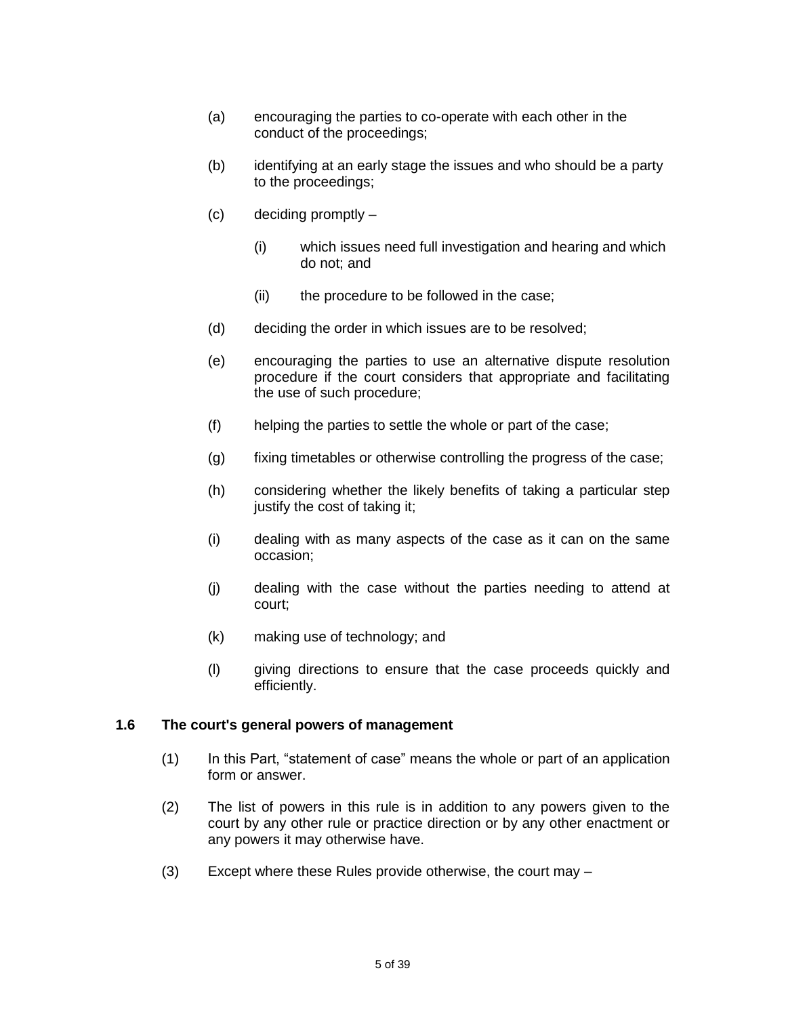- (a) encouraging the parties to co-operate with each other in the conduct of the proceedings;
- (b) identifying at an early stage the issues and who should be a party to the proceedings;
- (c) deciding promptly
	- (i) which issues need full investigation and hearing and which do not; and
	- (ii) the procedure to be followed in the case;
- (d) deciding the order in which issues are to be resolved;
- (e) encouraging the parties to use an alternative dispute resolution procedure if the court considers that appropriate and facilitating the use of such procedure;
- (f) helping the parties to settle the whole or part of the case;
- (g) fixing timetables or otherwise controlling the progress of the case;
- (h) considering whether the likely benefits of taking a particular step justify the cost of taking it;
- (i) dealing with as many aspects of the case as it can on the same occasion;
- (j) dealing with the case without the parties needing to attend at court;
- (k) making use of technology; and
- (l) giving directions to ensure that the case proceeds quickly and efficiently.

#### **1.6 The court's general powers of management**

- (1) In this Part, "statement of case" means the whole or part of an application form or answer.
- (2) The list of powers in this rule is in addition to any powers given to the court by any other rule or practice direction or by any other enactment or any powers it may otherwise have.
- (3) Except where these Rules provide otherwise, the court may –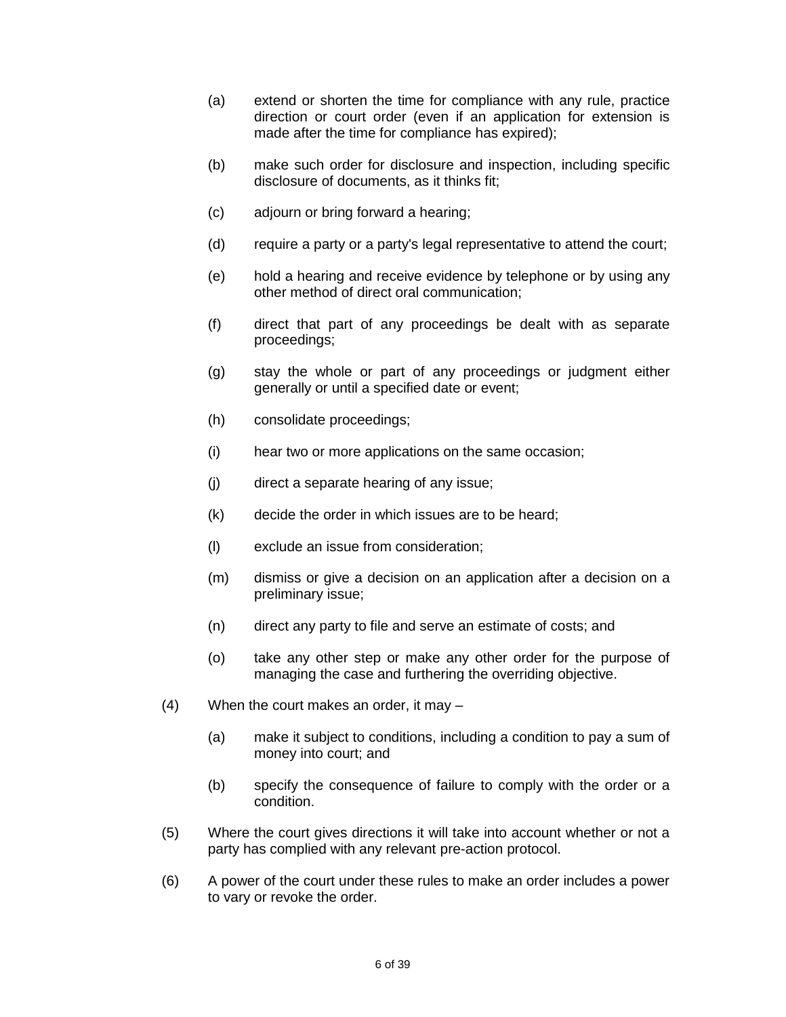- (a) extend or shorten the time for compliance with any rule, practice direction or court order (even if an application for extension is made after the time for compliance has expired);
- (b) make such order for disclosure and inspection, including specific disclosure of documents, as it thinks fit;
- (c) adjourn or bring forward a hearing;
- (d) require a party or a party's legal representative to attend the court;
- (e) hold a hearing and receive evidence by telephone or by using any other method of direct oral communication;
- (f) direct that part of any proceedings be dealt with as separate proceedings;
- (g) stay the whole or part of any proceedings or judgment either generally or until a specified date or event;
- (h) consolidate proceedings;
- (i) hear two or more applications on the same occasion;
- (j) direct a separate hearing of any issue;
- (k) decide the order in which issues are to be heard;
- (l) exclude an issue from consideration;
- (m) dismiss or give a decision on an application after a decision on a preliminary issue;
- (n) direct any party to file and serve an estimate of costs; and
- (o) take any other step or make any other order for the purpose of managing the case and furthering the overriding objective.
- (4) When the court makes an order, it may
	- (a) make it subject to conditions, including a condition to pay a sum of money into court; and
	- (b) specify the consequence of failure to comply with the order or a condition.
- (5) Where the court gives directions it will take into account whether or not a party has complied with any relevant pre-action protocol.
- (6) A power of the court under these rules to make an order includes a power to vary or revoke the order.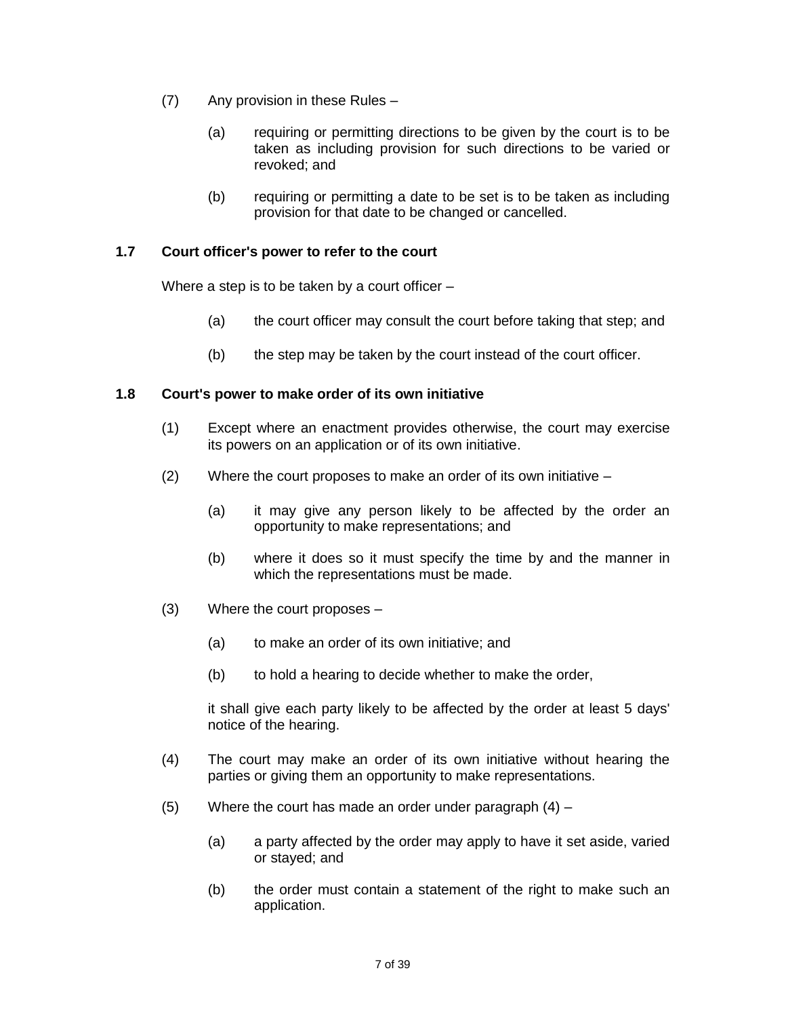- (7) Any provision in these Rules
	- (a) requiring or permitting directions to be given by the court is to be taken as including provision for such directions to be varied or revoked; and
	- (b) requiring or permitting a date to be set is to be taken as including provision for that date to be changed or cancelled.

### **1.7 Court officer's power to refer to the court**

Where a step is to be taken by a court officer –

- (a) the court officer may consult the court before taking that step; and
- (b) the step may be taken by the court instead of the court officer.

#### **1.8 Court's power to make order of its own initiative**

- (1) Except where an enactment provides otherwise, the court may exercise its powers on an application or of its own initiative.
- (2) Where the court proposes to make an order of its own initiative
	- (a) it may give any person likely to be affected by the order an opportunity to make representations; and
	- (b) where it does so it must specify the time by and the manner in which the representations must be made.
- (3) Where the court proposes
	- (a) to make an order of its own initiative; and
	- (b) to hold a hearing to decide whether to make the order,

it shall give each party likely to be affected by the order at least 5 days' notice of the hearing.

- (4) The court may make an order of its own initiative without hearing the parties or giving them an opportunity to make representations.
- $(5)$  Where the court has made an order under paragraph  $(4)$ 
	- (a) a party affected by the order may apply to have it set aside, varied or stayed; and
	- (b) the order must contain a statement of the right to make such an application.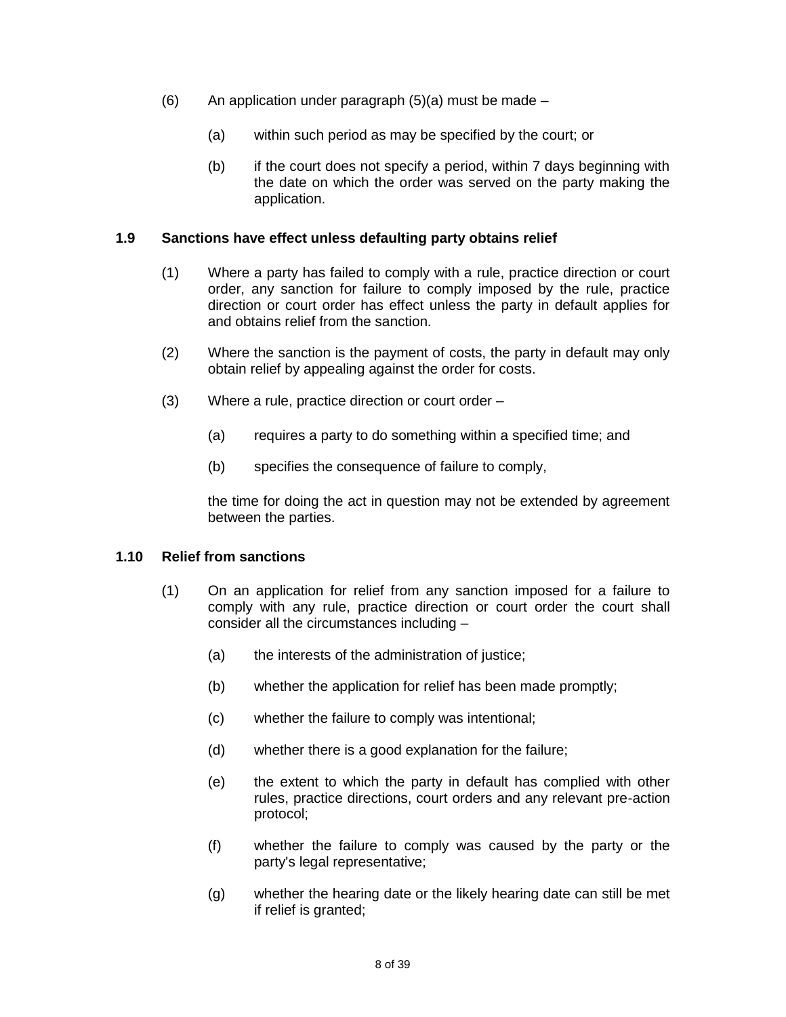- $(6)$  An application under paragraph  $(5)(a)$  must be made
	- (a) within such period as may be specified by the court; or
	- (b) if the court does not specify a period, within 7 days beginning with the date on which the order was served on the party making the application.

#### **1.9 Sanctions have effect unless defaulting party obtains relief**

- (1) Where a party has failed to comply with a rule, practice direction or court order, any sanction for failure to comply imposed by the rule, practice direction or court order has effect unless the party in default applies for and obtains relief from the sanction.
- (2) Where the sanction is the payment of costs, the party in default may only obtain relief by appealing against the order for costs.
- (3) Where a rule, practice direction or court order
	- (a) requires a party to do something within a specified time; and
	- (b) specifies the consequence of failure to comply,

the time for doing the act in question may not be extended by agreement between the parties.

#### **1.10 Relief from sanctions**

- (1) On an application for relief from any sanction imposed for a failure to comply with any rule, practice direction or court order the court shall consider all the circumstances including –
	- (a) the interests of the administration of justice;
	- (b) whether the application for relief has been made promptly;
	- (c) whether the failure to comply was intentional;
	- (d) whether there is a good explanation for the failure;
	- (e) the extent to which the party in default has complied with other rules, practice directions, court orders and any relevant pre-action protocol;
	- (f) whether the failure to comply was caused by the party or the party's legal representative;
	- (g) whether the hearing date or the likely hearing date can still be met if relief is granted;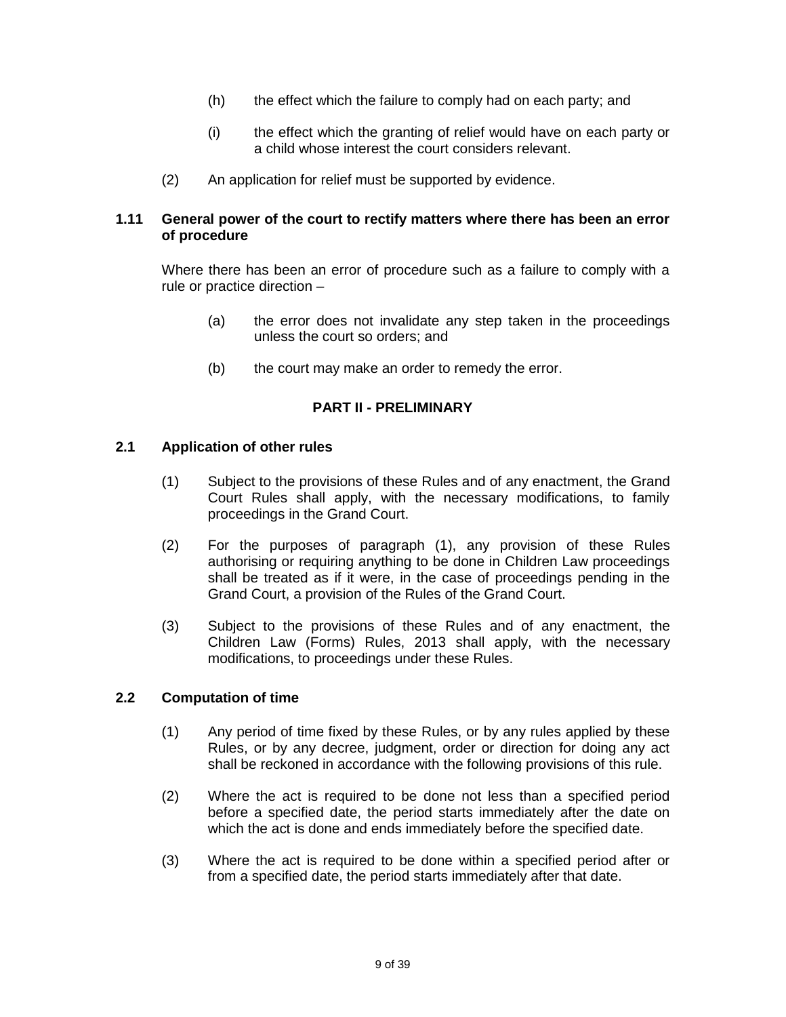- (h) the effect which the failure to comply had on each party; and
- (i) the effect which the granting of relief would have on each party or a child whose interest the court considers relevant.
- (2) An application for relief must be supported by evidence.

#### **1.11 General power of the court to rectify matters where there has been an error of procedure**

Where there has been an error of procedure such as a failure to comply with a rule or practice direction –

- (a) the error does not invalidate any step taken in the proceedings unless the court so orders; and
- (b) the court may make an order to remedy the error.

#### **PART II - PRELIMINARY**

#### **2.1 Application of other rules**

- (1) Subject to the provisions of these Rules and of any enactment, the Grand Court Rules shall apply, with the necessary modifications, to family proceedings in the Grand Court.
- (2) For the purposes of paragraph (1), any provision of these Rules authorising or requiring anything to be done in Children Law proceedings shall be treated as if it were, in the case of proceedings pending in the Grand Court, a provision of the Rules of the Grand Court.
- (3) Subject to the provisions of these Rules and of any enactment, the Children Law (Forms) Rules, 2013 shall apply, with the necessary modifications, to proceedings under these Rules.

#### **2.2 Computation of time**

- (1) Any period of time fixed by these Rules, or by any rules applied by these Rules, or by any decree, judgment, order or direction for doing any act shall be reckoned in accordance with the following provisions of this rule.
- (2) Where the act is required to be done not less than a specified period before a specified date, the period starts immediately after the date on which the act is done and ends immediately before the specified date.
- (3) Where the act is required to be done within a specified period after or from a specified date, the period starts immediately after that date.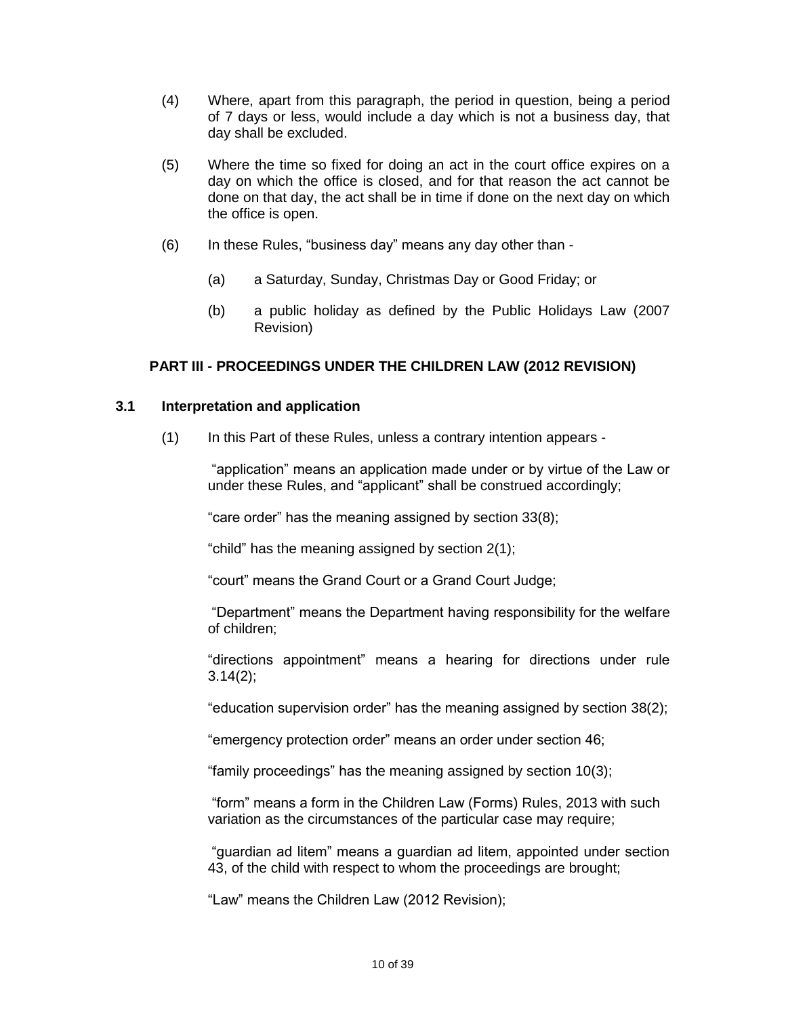- (4) Where, apart from this paragraph, the period in question, being a period of 7 days or less, would include a day which is not a business day, that day shall be excluded.
- (5) Where the time so fixed for doing an act in the court office expires on a day on which the office is closed, and for that reason the act cannot be done on that day, the act shall be in time if done on the next day on which the office is open.
- (6) In these Rules, "business day" means any day other than
	- (a) a Saturday, Sunday, Christmas Day or Good Friday; or
	- (b) a public holiday as defined by the Public Holidays Law (2007 Revision)

#### **PART III - PROCEEDINGS UNDER THE CHILDREN LAW (2012 REVISION)**

#### **3.1 Interpretation and application**

(1) In this Part of these Rules, unless a contrary intention appears -

"application" means an application made under or by virtue of the Law or under these Rules, and "applicant" shall be construed accordingly;

"care order" has the meaning assigned by section 33(8);

"child" has the meaning assigned by section 2(1);

"court" means the Grand Court or a Grand Court Judge;

"Department" means the Department having responsibility for the welfare of children;

"directions appointment" means a hearing for directions under rule 3.14(2);

"education supervision order" has the meaning assigned by section 38(2);

"emergency protection order" means an order under section 46;

"family proceedings" has the meaning assigned by section 10(3);

"form" means a form in the Children Law (Forms) Rules, 2013 with such variation as the circumstances of the particular case may require;

"guardian ad litem" means a guardian ad litem, appointed under section 43, of the child with respect to whom the proceedings are brought;

"Law" means the Children Law (2012 Revision);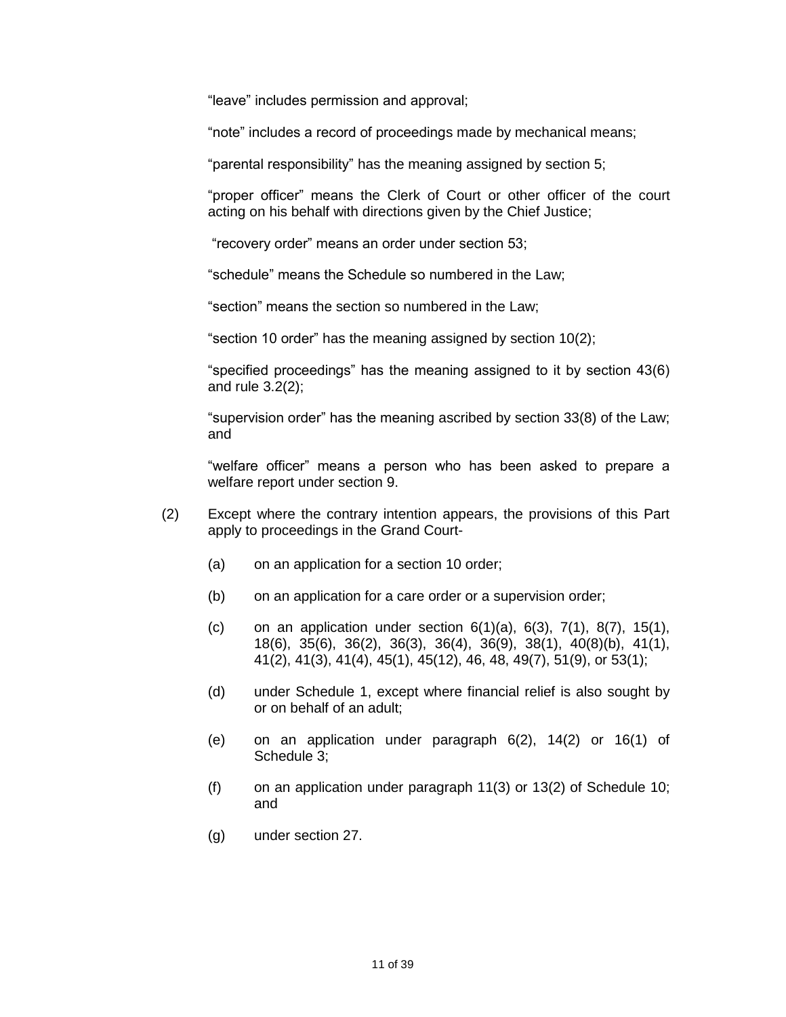"leave" includes permission and approval;

"note" includes a record of proceedings made by mechanical means;

"parental responsibility" has the meaning assigned by section 5;

"proper officer" means the Clerk of Court or other officer of the court acting on his behalf with directions given by the Chief Justice;

"recovery order" means an order under section 53;

"schedule" means the Schedule so numbered in the Law;

"section" means the section so numbered in the Law;

"section 10 order" has the meaning assigned by section 10(2);

"specified proceedings" has the meaning assigned to it by section 43(6) and rule 3.2(2);

"supervision order" has the meaning ascribed by section 33(8) of the Law; and

"welfare officer" means a person who has been asked to prepare a welfare report under section 9.

- (2) Except where the contrary intention appears, the provisions of this Part apply to proceedings in the Grand Court-
	- (a) on an application for a section 10 order;
	- (b) on an application for a care order or a supervision order;
	- (c) on an application under section 6(1)(a), 6(3), 7(1), 8(7), 15(1), 18(6), 35(6), 36(2), 36(3), 36(4), 36(9), 38(1), 40(8)(b), 41(1), 41(2), 41(3), 41(4), 45(1), 45(12), 46, 48, 49(7), 51(9), or 53(1);
	- (d) under Schedule 1, except where financial relief is also sought by or on behalf of an adult;
	- (e) on an application under paragraph 6(2), 14(2) or 16(1) of Schedule 3;
	- (f) on an application under paragraph  $11(3)$  or  $13(2)$  of Schedule 10; and
	- (g) under section 27.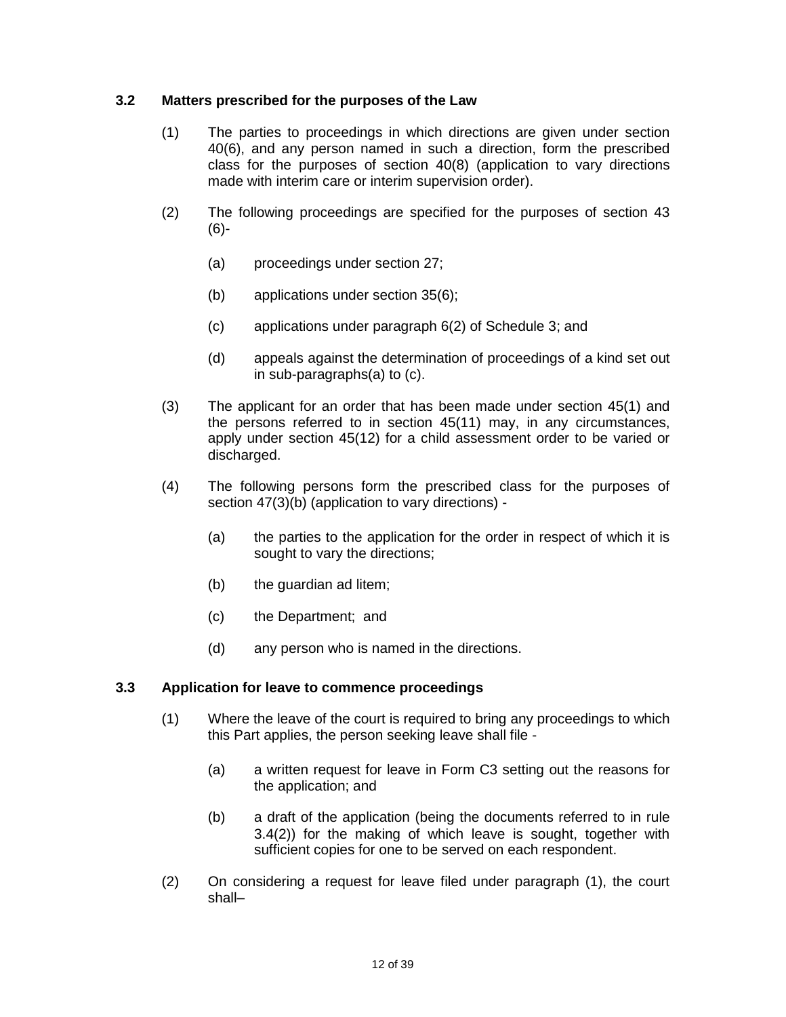### **3.2 Matters prescribed for the purposes of the Law**

- (1) The parties to proceedings in which directions are given under section 40(6), and any person named in such a direction, form the prescribed class for the purposes of section 40(8) (application to vary directions made with interim care or interim supervision order).
- (2) The following proceedings are specified for the purposes of section 43 (6)-
	- (a) proceedings under section 27;
	- (b) applications under section 35(6);
	- (c) applications under paragraph 6(2) of Schedule 3; and
	- (d) appeals against the determination of proceedings of a kind set out in sub-paragraphs(a) to (c).
- (3) The applicant for an order that has been made under section 45(1) and the persons referred to in section 45(11) may, in any circumstances, apply under section 45(12) for a child assessment order to be varied or discharged.
- (4) The following persons form the prescribed class for the purposes of section 47(3)(b) (application to vary directions) -
	- (a) the parties to the application for the order in respect of which it is sought to vary the directions;
	- (b) the guardian ad litem;
	- (c) the Department; and
	- (d) any person who is named in the directions.

#### **3.3 Application for leave to commence proceedings**

- (1) Where the leave of the court is required to bring any proceedings to which this Part applies, the person seeking leave shall file -
	- (a) a written request for leave in Form C3 setting out the reasons for the application; and
	- (b) a draft of the application (being the documents referred to in rule 3.4(2)) for the making of which leave is sought, together with sufficient copies for one to be served on each respondent.
- (2) On considering a request for leave filed under paragraph (1), the court shall–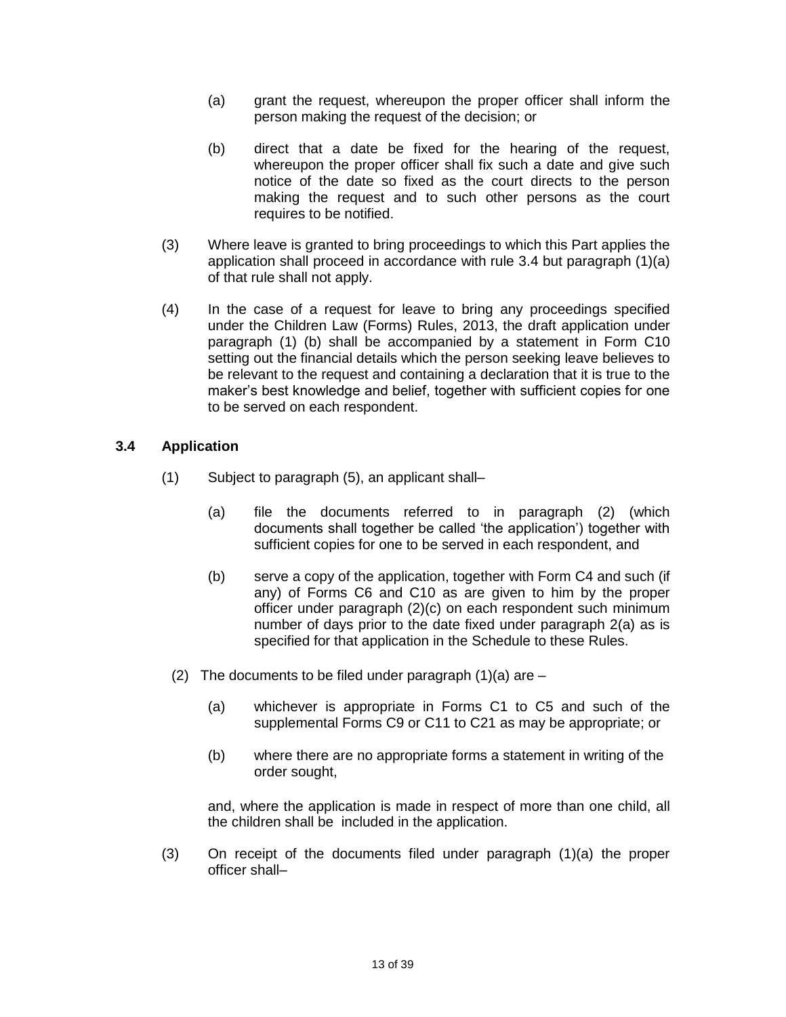- (a) grant the request, whereupon the proper officer shall inform the person making the request of the decision; or
- (b) direct that a date be fixed for the hearing of the request, whereupon the proper officer shall fix such a date and give such notice of the date so fixed as the court directs to the person making the request and to such other persons as the court requires to be notified.
- (3) Where leave is granted to bring proceedings to which this Part applies the application shall proceed in accordance with rule 3.4 but paragraph (1)(a) of that rule shall not apply.
- (4) In the case of a request for leave to bring any proceedings specified under the Children Law (Forms) Rules, 2013, the draft application under paragraph (1) (b) shall be accompanied by a statement in Form C10 setting out the financial details which the person seeking leave believes to be relevant to the request and containing a declaration that it is true to the maker's best knowledge and belief, together with sufficient copies for one to be served on each respondent.

### **3.4 Application**

- (1) Subject to paragraph (5), an applicant shall–
	- (a) file the documents referred to in paragraph (2) (which documents shall together be called 'the application') together with sufficient copies for one to be served in each respondent, and
	- (b) serve a copy of the application, together with Form C4 and such (if any) of Forms C6 and C10 as are given to him by the proper officer under paragraph (2)(c) on each respondent such minimum number of days prior to the date fixed under paragraph 2(a) as is specified for that application in the Schedule to these Rules.
	- (2) The documents to be filed under paragraph  $(1)(a)$  are  $-$ 
		- (a) whichever is appropriate in Forms C1 to C5 and such of the supplemental Forms C9 or C11 to C21 as may be appropriate; or
		- (b) where there are no appropriate forms a statement in writing of the order sought,

and, where the application is made in respect of more than one child, all the children shall be included in the application.

(3) On receipt of the documents filed under paragraph (1)(a) the proper officer shall–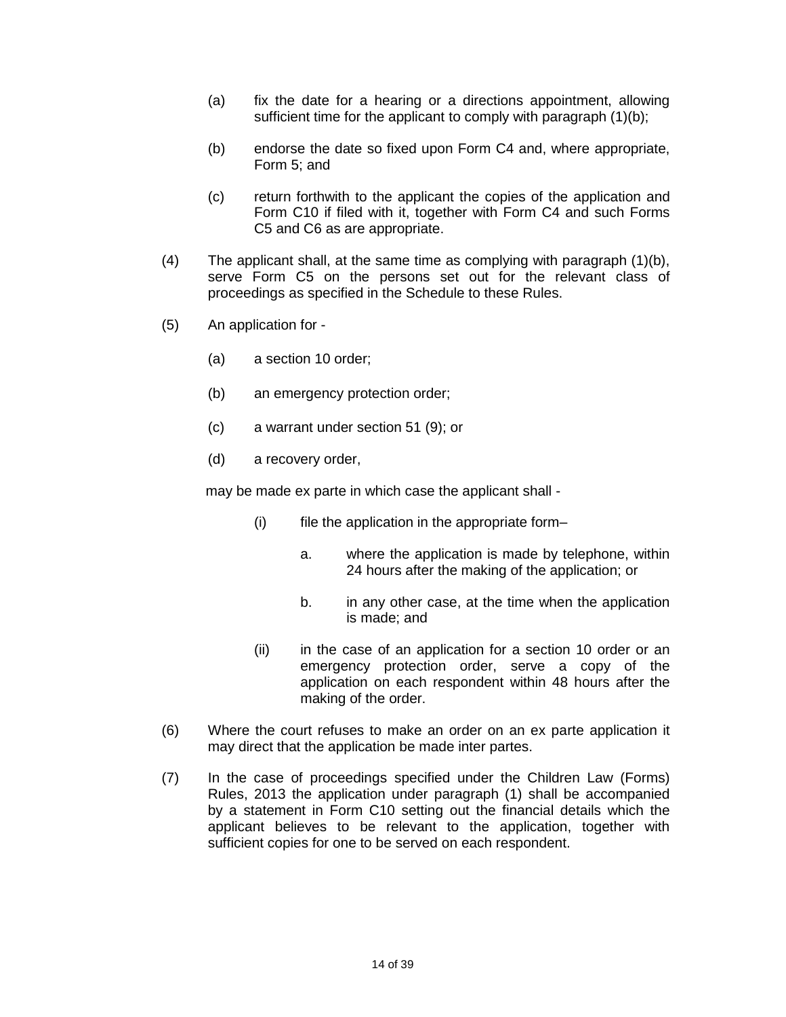- (a) fix the date for a hearing or a directions appointment, allowing sufficient time for the applicant to comply with paragraph (1)(b);
- (b) endorse the date so fixed upon Form C4 and, where appropriate, Form 5; and
- (c) return forthwith to the applicant the copies of the application and Form C10 if filed with it, together with Form C4 and such Forms C5 and C6 as are appropriate.
- (4) The applicant shall, at the same time as complying with paragraph (1)(b), serve Form C5 on the persons set out for the relevant class of proceedings as specified in the Schedule to these Rules.
- (5) An application for
	- (a) a section 10 order;
	- (b) an emergency protection order;
	- (c) a warrant under section 51 (9); or
	- (d) a recovery order,

may be made ex parte in which case the applicant shall -

- (i) file the application in the appropriate form–
	- a. where the application is made by telephone, within 24 hours after the making of the application; or
	- b. in any other case, at the time when the application is made; and
- (ii) in the case of an application for a section 10 order or an emergency protection order, serve a copy of the application on each respondent within 48 hours after the making of the order.
- (6) Where the court refuses to make an order on an ex parte application it may direct that the application be made inter partes.
- (7) In the case of proceedings specified under the Children Law (Forms) Rules, 2013 the application under paragraph (1) shall be accompanied by a statement in Form C10 setting out the financial details which the applicant believes to be relevant to the application, together with sufficient copies for one to be served on each respondent.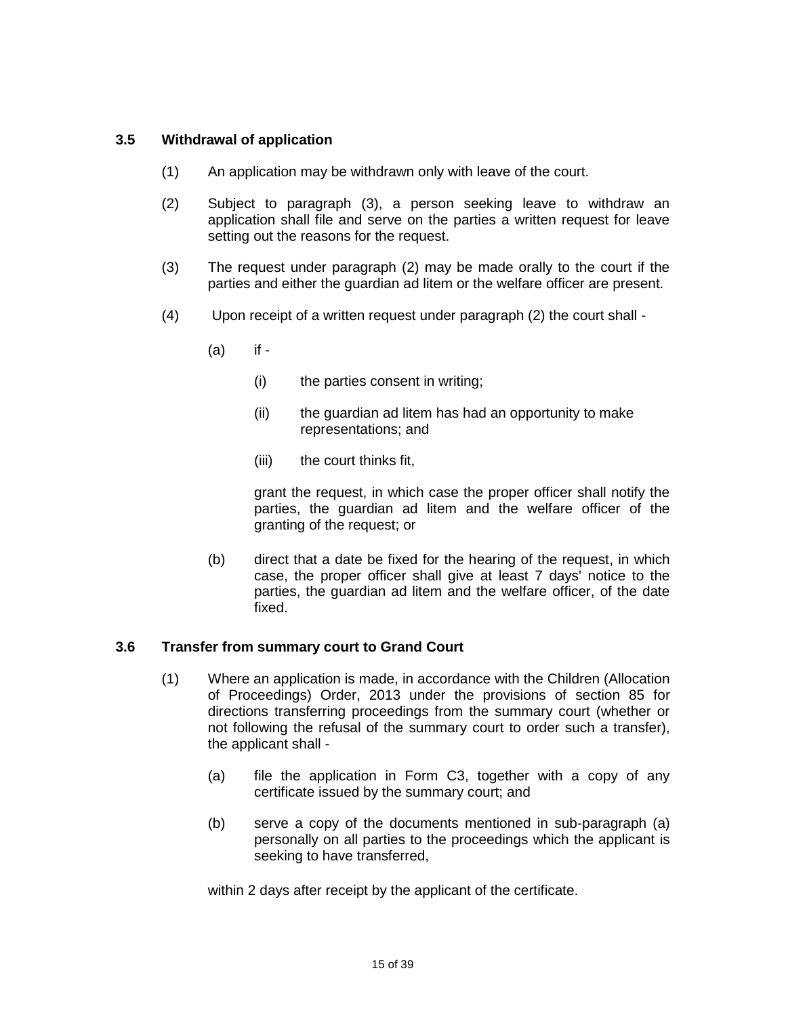### **3.5 Withdrawal of application**

- (1) An application may be withdrawn only with leave of the court.
- (2) Subject to paragraph (3), a person seeking leave to withdraw an application shall file and serve on the parties a written request for leave setting out the reasons for the request.
- (3) The request under paragraph (2) may be made orally to the court if the parties and either the guardian ad litem or the welfare officer are present.
- (4) Upon receipt of a written request under paragraph (2) the court shall
	- (a) if
		- (i) the parties consent in writing;
		- (ii) the guardian ad litem has had an opportunity to make representations; and
		- (iii) the court thinks fit,

grant the request, in which case the proper officer shall notify the parties, the guardian ad litem and the welfare officer of the granting of the request; or

(b) direct that a date be fixed for the hearing of the request, in which case, the proper officer shall give at least 7 days' notice to the parties, the guardian ad litem and the welfare officer, of the date fixed.

#### **3.6 Transfer from summary court to Grand Court**

- (1) Where an application is made, in accordance with the Children (Allocation of Proceedings) Order, 2013 under the provisions of section 85 for directions transferring proceedings from the summary court (whether or not following the refusal of the summary court to order such a transfer), the applicant shall -
	- (a) file the application in Form C3, together with a copy of any certificate issued by the summary court; and
	- (b) serve a copy of the documents mentioned in sub-paragraph (a) personally on all parties to the proceedings which the applicant is seeking to have transferred,

within 2 days after receipt by the applicant of the certificate.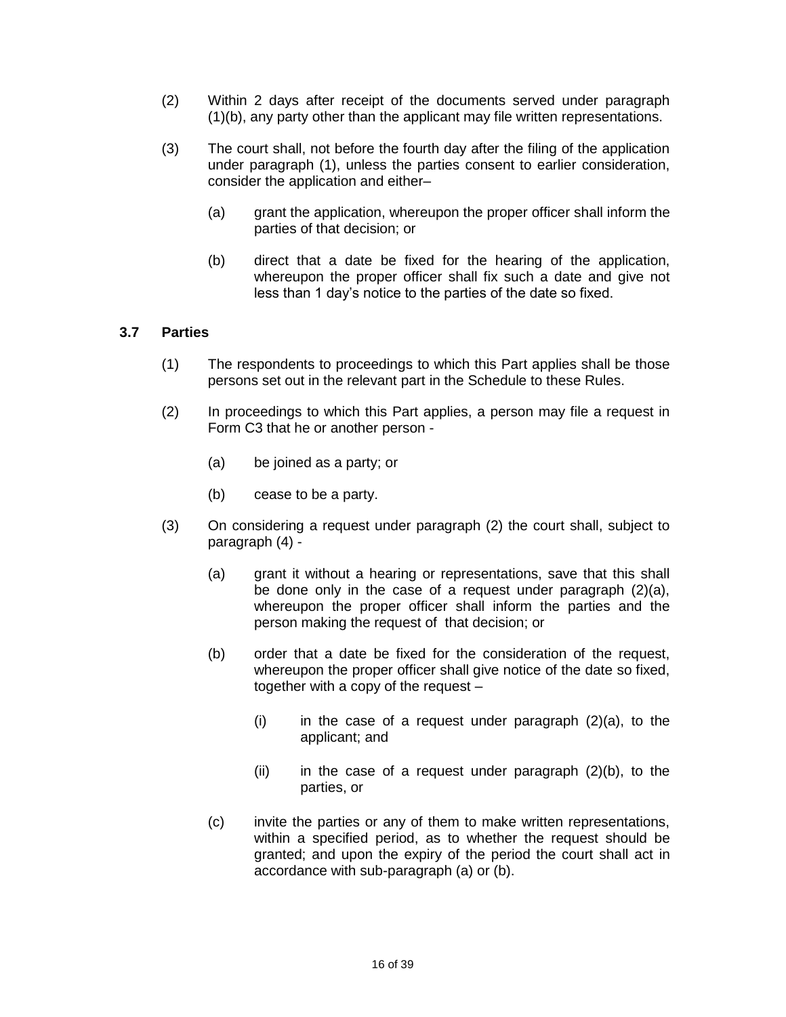- (2) Within 2 days after receipt of the documents served under paragraph (1)(b), any party other than the applicant may file written representations.
- (3) The court shall, not before the fourth day after the filing of the application under paragraph (1), unless the parties consent to earlier consideration, consider the application and either–
	- (a) grant the application, whereupon the proper officer shall inform the parties of that decision; or
	- (b) direct that a date be fixed for the hearing of the application, whereupon the proper officer shall fix such a date and give not less than 1 day's notice to the parties of the date so fixed.

### **3.7 Parties**

- (1) The respondents to proceedings to which this Part applies shall be those persons set out in the relevant part in the Schedule to these Rules.
- (2) In proceedings to which this Part applies, a person may file a request in Form C3 that he or another person -
	- (a) be joined as a party; or
	- (b) cease to be a party.
- (3) On considering a request under paragraph (2) the court shall, subject to paragraph (4) -
	- (a) grant it without a hearing or representations, save that this shall be done only in the case of a request under paragraph (2)(a), whereupon the proper officer shall inform the parties and the person making the request of that decision; or
	- (b) order that a date be fixed for the consideration of the request, whereupon the proper officer shall give notice of the date so fixed, together with a copy of the request –
		- $(i)$  in the case of a request under paragraph  $(2)(a)$ , to the applicant; and
		- $(ii)$  in the case of a request under paragraph  $(2)(b)$ , to the parties, or
	- (c) invite the parties or any of them to make written representations, within a specified period, as to whether the request should be granted; and upon the expiry of the period the court shall act in accordance with sub-paragraph (a) or (b).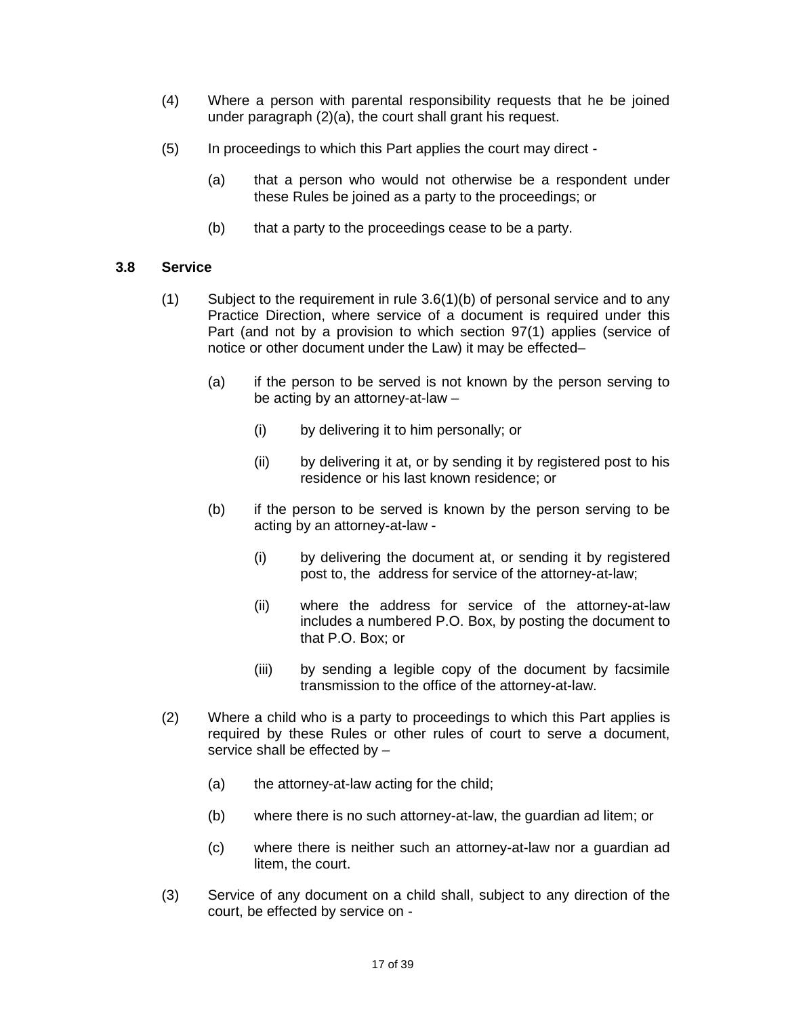- (4) Where a person with parental responsibility requests that he be joined under paragraph (2)(a), the court shall grant his request.
- (5) In proceedings to which this Part applies the court may direct
	- (a) that a person who would not otherwise be a respondent under these Rules be joined as a party to the proceedings; or
	- (b) that a party to the proceedings cease to be a party.

#### **3.8 Service**

- (1) Subject to the requirement in rule 3.6(1)(b) of personal service and to any Practice Direction, where service of a document is required under this Part (and not by a provision to which section 97(1) applies (service of notice or other document under the Law) it may be effected–
	- (a) if the person to be served is not known by the person serving to be acting by an attorney-at-law –
		- (i) by delivering it to him personally; or
		- (ii) by delivering it at, or by sending it by registered post to his residence or his last known residence; or
	- (b) if the person to be served is known by the person serving to be acting by an attorney-at-law -
		- (i) by delivering the document at, or sending it by registered post to, the address for service of the attorney-at-law;
		- (ii) where the address for service of the attorney-at-law includes a numbered P.O. Box, by posting the document to that P.O. Box; or
		- (iii) by sending a legible copy of the document by facsimile transmission to the office of the attorney-at-law.
- (2) Where a child who is a party to proceedings to which this Part applies is required by these Rules or other rules of court to serve a document, service shall be effected by –
	- (a) the attorney-at-law acting for the child;
	- (b) where there is no such attorney-at-law, the guardian ad litem; or
	- (c) where there is neither such an attorney-at-law nor a guardian ad litem, the court.
- (3) Service of any document on a child shall, subject to any direction of the court, be effected by service on -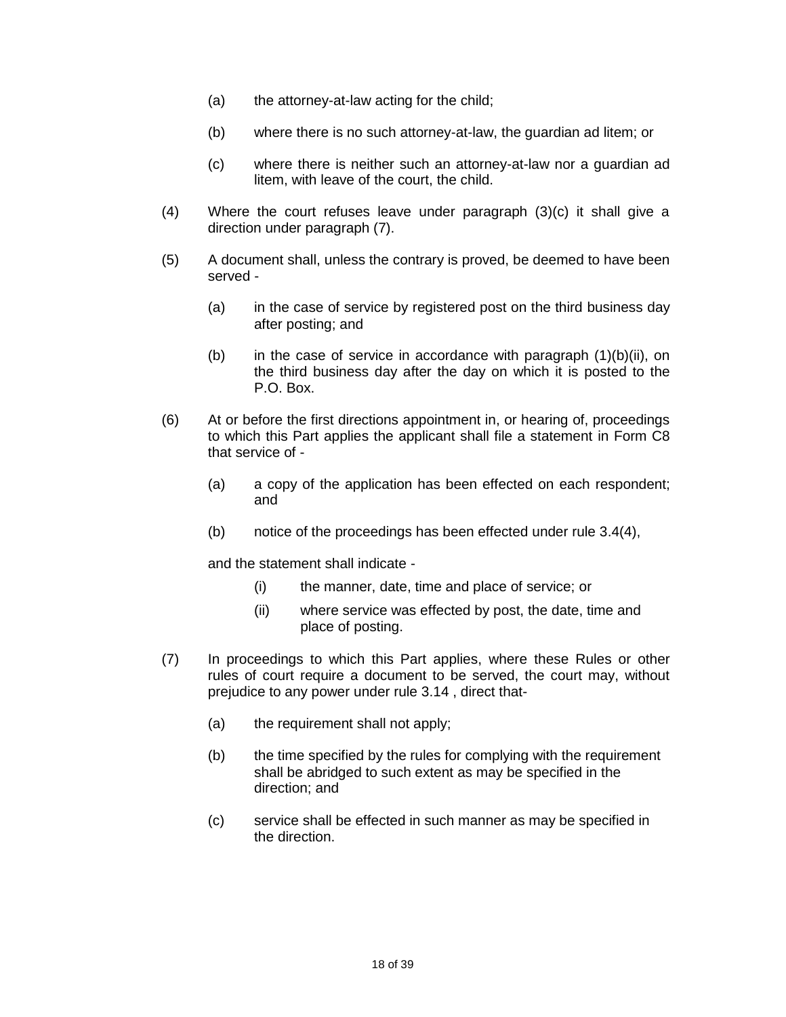- (a) the attorney-at-law acting for the child;
- (b) where there is no such attorney-at-law, the guardian ad litem; or
- (c) where there is neither such an attorney-at-law nor a guardian ad litem, with leave of the court, the child.
- (4) Where the court refuses leave under paragraph (3)(c) it shall give a direction under paragraph (7).
- (5) A document shall, unless the contrary is proved, be deemed to have been served -
	- (a) in the case of service by registered post on the third business day after posting; and
	- (b) in the case of service in accordance with paragraph  $(1)(b)(ii)$ , on the third business day after the day on which it is posted to the P.O. Box.
- (6) At or before the first directions appointment in, or hearing of, proceedings to which this Part applies the applicant shall file a statement in Form C8 that service of -
	- (a) a copy of the application has been effected on each respondent; and
	- (b) notice of the proceedings has been effected under rule 3.4(4),

and the statement shall indicate -

- (i) the manner, date, time and place of service; or
- (ii) where service was effected by post, the date, time and place of posting.
- (7) In proceedings to which this Part applies, where these Rules or other rules of court require a document to be served, the court may, without prejudice to any power under rule 3.14 , direct that-
	- (a) the requirement shall not apply;
	- (b) the time specified by the rules for complying with the requirement shall be abridged to such extent as may be specified in the direction; and
	- (c) service shall be effected in such manner as may be specified in the direction.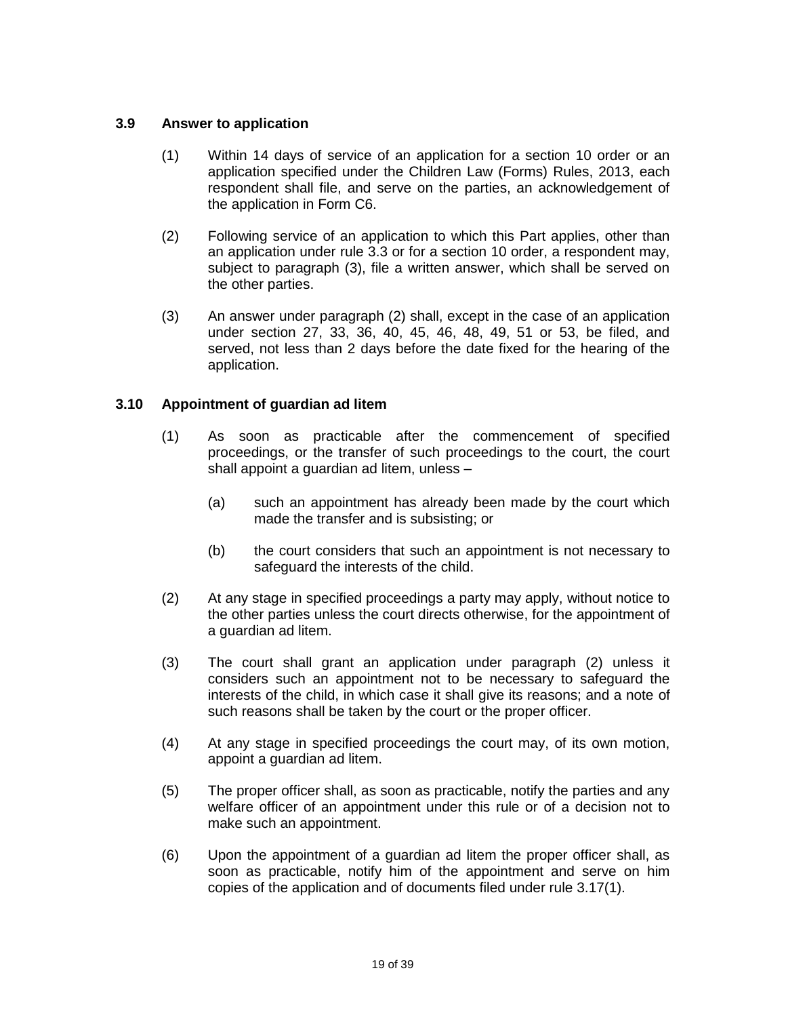### **3.9 Answer to application**

- (1) Within 14 days of service of an application for a section 10 order or an application specified under the Children Law (Forms) Rules, 2013, each respondent shall file, and serve on the parties, an acknowledgement of the application in Form C6.
- (2) Following service of an application to which this Part applies, other than an application under rule 3.3 or for a section 10 order, a respondent may, subject to paragraph (3), file a written answer, which shall be served on the other parties.
- (3) An answer under paragraph (2) shall, except in the case of an application under section 27, 33, 36, 40, 45, 46, 48, 49, 51 or 53, be filed, and served, not less than 2 days before the date fixed for the hearing of the application.

### **3.10 Appointment of guardian ad litem**

- (1) As soon as practicable after the commencement of specified proceedings, or the transfer of such proceedings to the court, the court shall appoint a guardian ad litem, unless –
	- (a) such an appointment has already been made by the court which made the transfer and is subsisting; or
	- (b) the court considers that such an appointment is not necessary to safeguard the interests of the child.
- (2) At any stage in specified proceedings a party may apply, without notice to the other parties unless the court directs otherwise, for the appointment of a guardian ad litem.
- (3) The court shall grant an application under paragraph (2) unless it considers such an appointment not to be necessary to safeguard the interests of the child, in which case it shall give its reasons; and a note of such reasons shall be taken by the court or the proper officer.
- (4) At any stage in specified proceedings the court may, of its own motion, appoint a guardian ad litem.
- (5) The proper officer shall, as soon as practicable, notify the parties and any welfare officer of an appointment under this rule or of a decision not to make such an appointment.
- (6) Upon the appointment of a guardian ad litem the proper officer shall, as soon as practicable, notify him of the appointment and serve on him copies of the application and of documents filed under rule 3.17(1).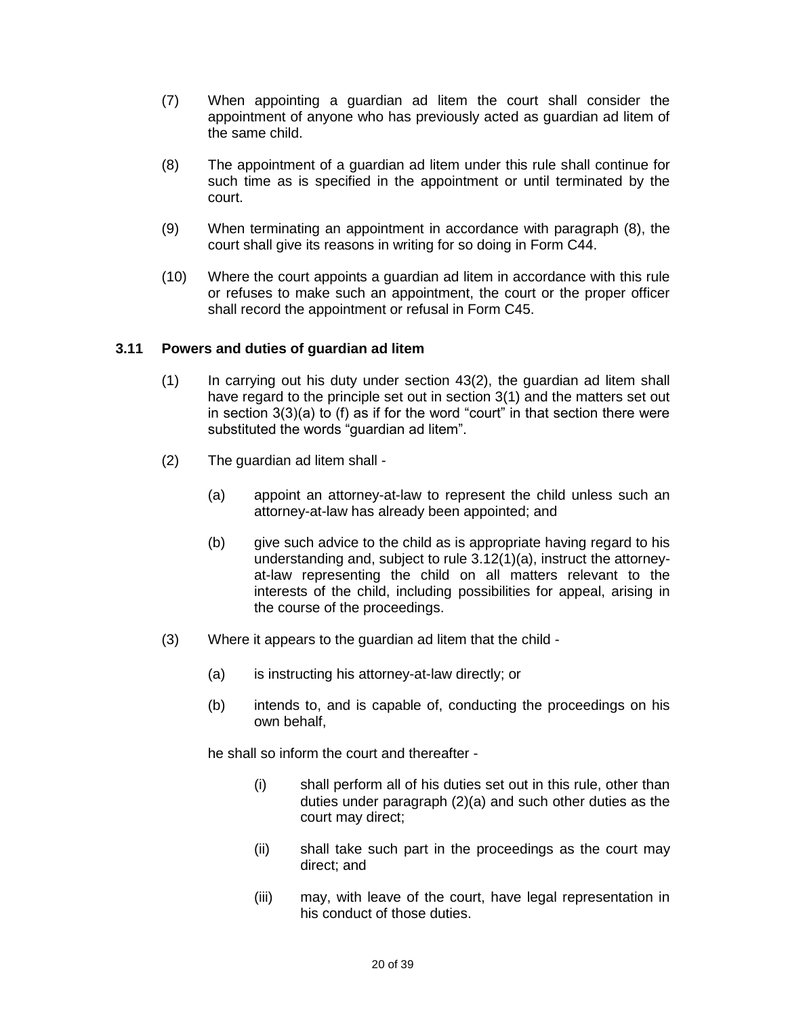- (7) When appointing a guardian ad litem the court shall consider the appointment of anyone who has previously acted as guardian ad litem of the same child.
- (8) The appointment of a guardian ad litem under this rule shall continue for such time as is specified in the appointment or until terminated by the court.
- (9) When terminating an appointment in accordance with paragraph (8), the court shall give its reasons in writing for so doing in Form C44.
- (10) Where the court appoints a guardian ad litem in accordance with this rule or refuses to make such an appointment, the court or the proper officer shall record the appointment or refusal in Form C45.

#### **3.11 Powers and duties of guardian ad litem**

- (1) In carrying out his duty under section 43(2), the guardian ad litem shall have regard to the principle set out in section 3(1) and the matters set out in section 3(3)(a) to (f) as if for the word "court" in that section there were substituted the words "guardian ad litem".
- (2) The guardian ad litem shall
	- (a) appoint an attorney-at-law to represent the child unless such an attorney-at-law has already been appointed; and
	- (b) give such advice to the child as is appropriate having regard to his understanding and, subject to rule 3.12(1)(a), instruct the attorneyat-law representing the child on all matters relevant to the interests of the child, including possibilities for appeal, arising in the course of the proceedings.
- (3) Where it appears to the guardian ad litem that the child
	- (a) is instructing his attorney-at-law directly; or
	- (b) intends to, and is capable of, conducting the proceedings on his own behalf,

he shall so inform the court and thereafter -

- (i) shall perform all of his duties set out in this rule, other than duties under paragraph (2)(a) and such other duties as the court may direct;
- (ii) shall take such part in the proceedings as the court may direct; and
- (iii) may, with leave of the court, have legal representation in his conduct of those duties.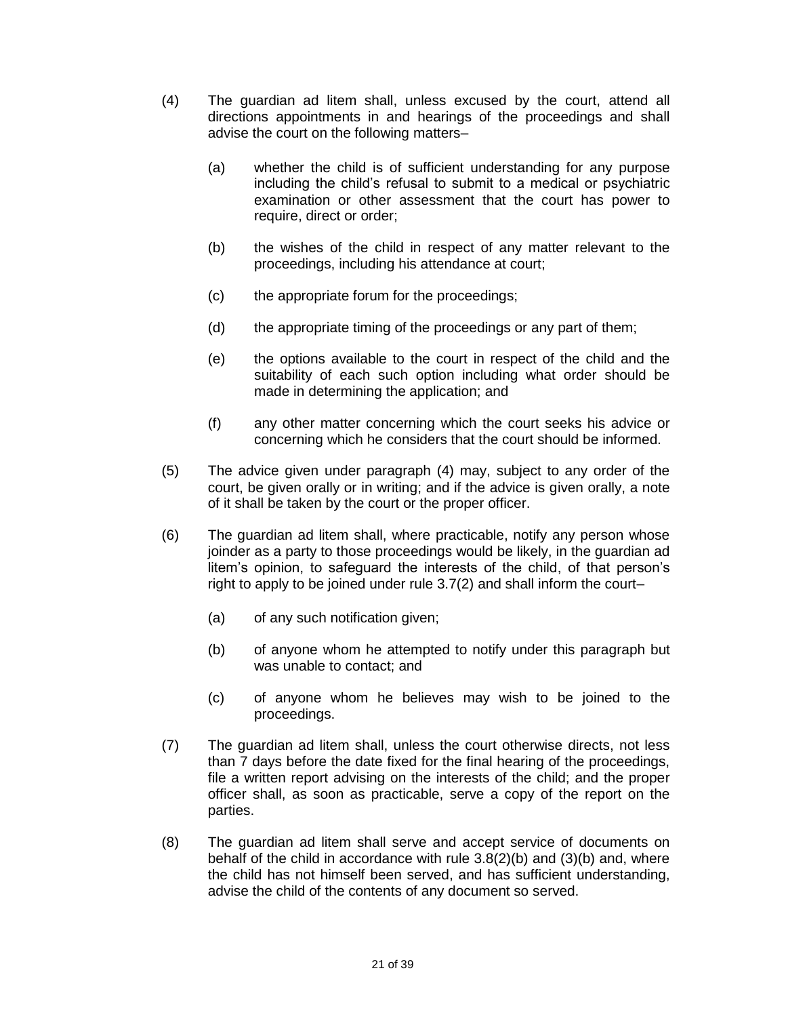- (4) The guardian ad litem shall, unless excused by the court, attend all directions appointments in and hearings of the proceedings and shall advise the court on the following matters–
	- (a) whether the child is of sufficient understanding for any purpose including the child's refusal to submit to a medical or psychiatric examination or other assessment that the court has power to require, direct or order;
	- (b) the wishes of the child in respect of any matter relevant to the proceedings, including his attendance at court;
	- (c) the appropriate forum for the proceedings;
	- (d) the appropriate timing of the proceedings or any part of them;
	- (e) the options available to the court in respect of the child and the suitability of each such option including what order should be made in determining the application; and
	- (f) any other matter concerning which the court seeks his advice or concerning which he considers that the court should be informed.
- (5) The advice given under paragraph (4) may, subject to any order of the court, be given orally or in writing; and if the advice is given orally, a note of it shall be taken by the court or the proper officer.
- (6) The guardian ad litem shall, where practicable, notify any person whose joinder as a party to those proceedings would be likely, in the guardian ad litem's opinion, to safeguard the interests of the child, of that person's right to apply to be joined under rule 3.7(2) and shall inform the court–
	- (a) of any such notification given;
	- (b) of anyone whom he attempted to notify under this paragraph but was unable to contact; and
	- (c) of anyone whom he believes may wish to be joined to the proceedings.
- (7) The guardian ad litem shall, unless the court otherwise directs, not less than 7 days before the date fixed for the final hearing of the proceedings, file a written report advising on the interests of the child; and the proper officer shall, as soon as practicable, serve a copy of the report on the parties.
- (8) The guardian ad litem shall serve and accept service of documents on behalf of the child in accordance with rule  $3.8(2)(b)$  and  $(3)(b)$  and, where the child has not himself been served, and has sufficient understanding, advise the child of the contents of any document so served.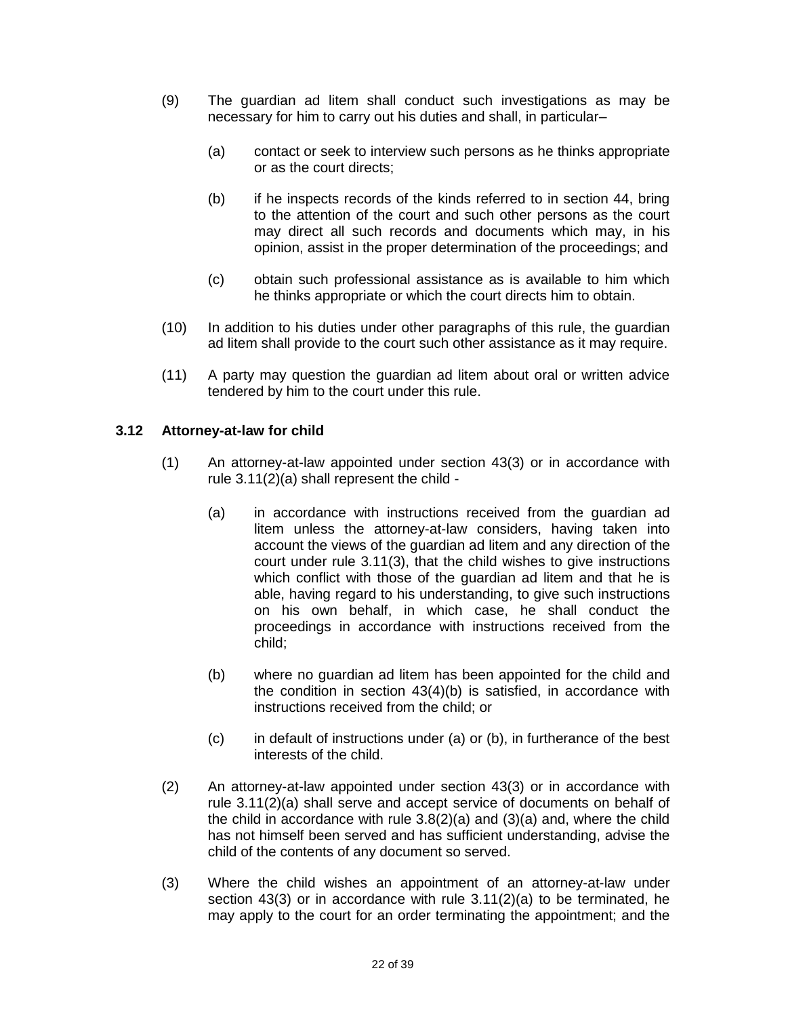- (9) The guardian ad litem shall conduct such investigations as may be necessary for him to carry out his duties and shall, in particular–
	- (a) contact or seek to interview such persons as he thinks appropriate or as the court directs;
	- (b) if he inspects records of the kinds referred to in section 44, bring to the attention of the court and such other persons as the court may direct all such records and documents which may, in his opinion, assist in the proper determination of the proceedings; and
	- (c) obtain such professional assistance as is available to him which he thinks appropriate or which the court directs him to obtain.
- (10) In addition to his duties under other paragraphs of this rule, the guardian ad litem shall provide to the court such other assistance as it may require.
- (11) A party may question the guardian ad litem about oral or written advice tendered by him to the court under this rule.

### **3.12 Attorney-at-law for child**

- (1) An attorney-at-law appointed under section 43(3) or in accordance with rule 3.11(2)(a) shall represent the child -
	- (a) in accordance with instructions received from the guardian ad litem unless the attorney-at-law considers, having taken into account the views of the guardian ad litem and any direction of the court under rule 3.11(3), that the child wishes to give instructions which conflict with those of the guardian ad litem and that he is able, having regard to his understanding, to give such instructions on his own behalf, in which case, he shall conduct the proceedings in accordance with instructions received from the child;
	- (b) where no guardian ad litem has been appointed for the child and the condition in section 43(4)(b) is satisfied, in accordance with instructions received from the child; or
	- (c) in default of instructions under (a) or (b), in furtherance of the best interests of the child.
- (2) An attorney-at-law appointed under section 43(3) or in accordance with rule 3.11(2)(a) shall serve and accept service of documents on behalf of the child in accordance with rule 3.8(2)(a) and (3)(a) and, where the child has not himself been served and has sufficient understanding, advise the child of the contents of any document so served.
- (3) Where the child wishes an appointment of an attorney-at-law under section 43(3) or in accordance with rule 3.11(2)(a) to be terminated, he may apply to the court for an order terminating the appointment; and the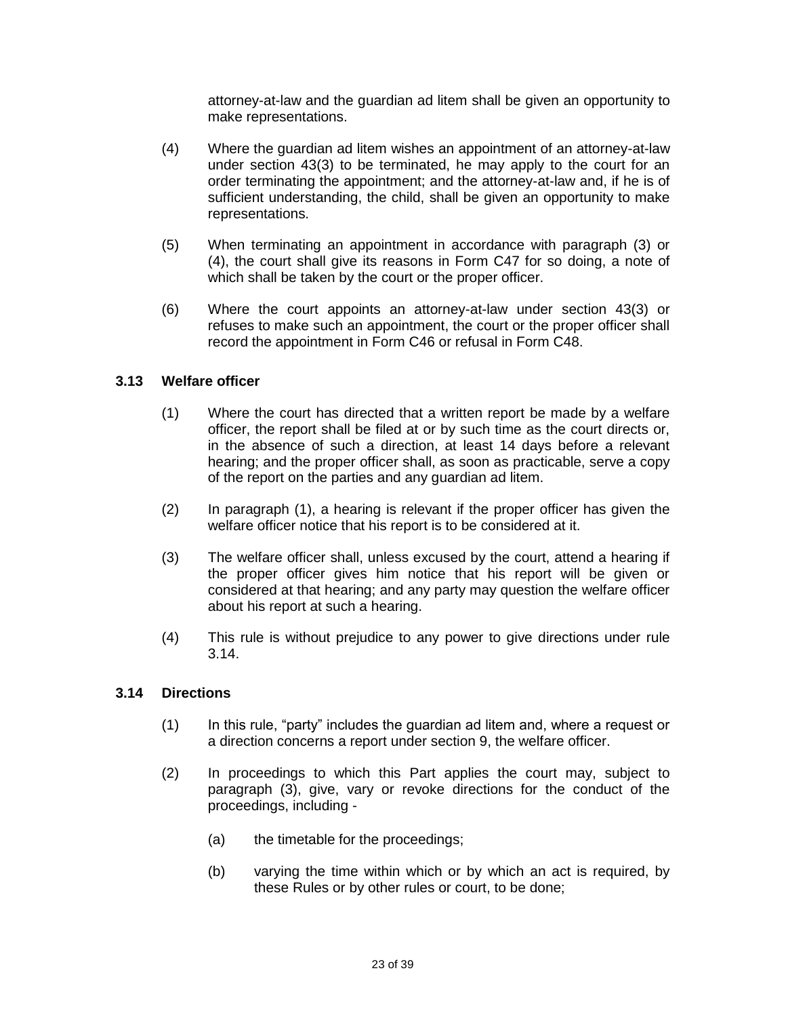attorney-at-law and the guardian ad litem shall be given an opportunity to make representations.

- (4) Where the guardian ad litem wishes an appointment of an attorney-at-law under section 43(3) to be terminated, he may apply to the court for an order terminating the appointment; and the attorney-at-law and, if he is of sufficient understanding, the child, shall be given an opportunity to make representations.
- (5) When terminating an appointment in accordance with paragraph (3) or (4), the court shall give its reasons in Form C47 for so doing, a note of which shall be taken by the court or the proper officer.
- (6) Where the court appoints an attorney-at-law under section 43(3) or refuses to make such an appointment, the court or the proper officer shall record the appointment in Form C46 or refusal in Form C48.

### **3.13 Welfare officer**

- (1) Where the court has directed that a written report be made by a welfare officer, the report shall be filed at or by such time as the court directs or, in the absence of such a direction, at least 14 days before a relevant hearing; and the proper officer shall, as soon as practicable, serve a copy of the report on the parties and any guardian ad litem.
- (2) In paragraph (1), a hearing is relevant if the proper officer has given the welfare officer notice that his report is to be considered at it.
- (3) The welfare officer shall, unless excused by the court, attend a hearing if the proper officer gives him notice that his report will be given or considered at that hearing; and any party may question the welfare officer about his report at such a hearing.
- (4) This rule is without prejudice to any power to give directions under rule 3.14.

### **3.14 Directions**

- (1) In this rule, "party" includes the guardian ad litem and, where a request or a direction concerns a report under section 9, the welfare officer.
- (2) In proceedings to which this Part applies the court may, subject to paragraph (3), give, vary or revoke directions for the conduct of the proceedings, including -
	- (a) the timetable for the proceedings;
	- (b) varying the time within which or by which an act is required, by these Rules or by other rules or court, to be done;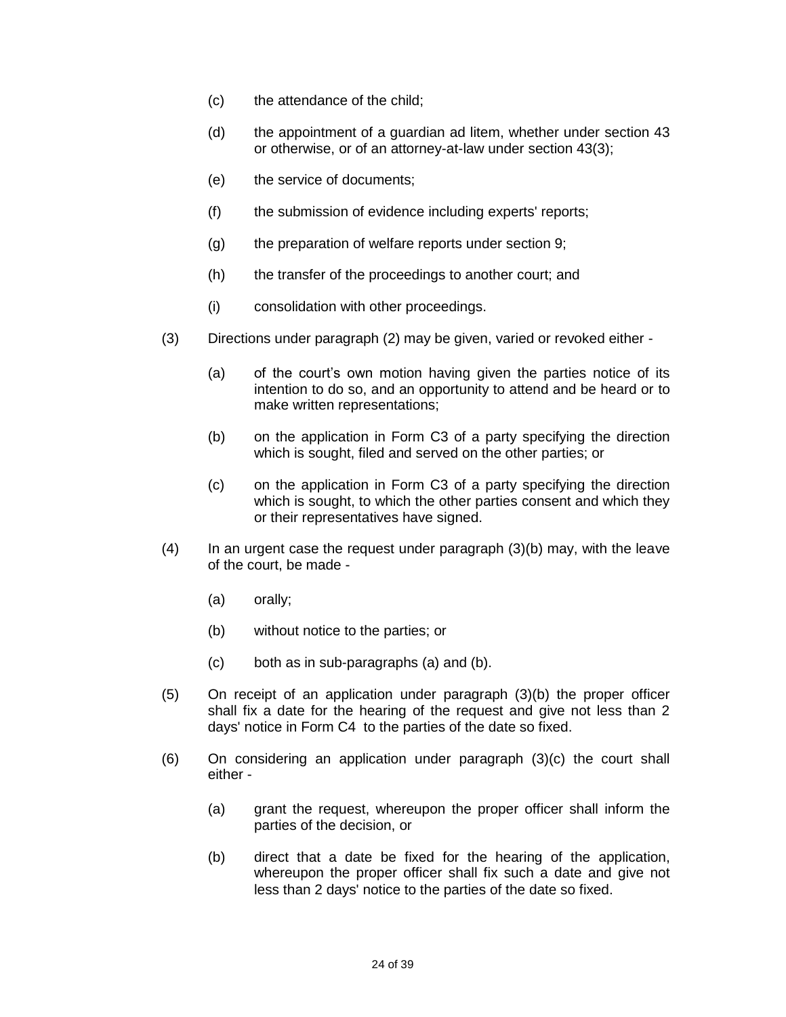- (c) the attendance of the child;
- (d) the appointment of a guardian ad litem, whether under section 43 or otherwise, or of an attorney-at-law under section 43(3);
- (e) the service of documents;
- (f) the submission of evidence including experts' reports;
- (g) the preparation of welfare reports under section 9;
- (h) the transfer of the proceedings to another court; and
- (i) consolidation with other proceedings.
- (3) Directions under paragraph (2) may be given, varied or revoked either
	- (a) of the court's own motion having given the parties notice of its intention to do so, and an opportunity to attend and be heard or to make written representations;
	- (b) on the application in Form C3 of a party specifying the direction which is sought, filed and served on the other parties; or
	- (c) on the application in Form C3 of a party specifying the direction which is sought, to which the other parties consent and which they or their representatives have signed.
- $(4)$  In an urgent case the request under paragraph  $(3)(b)$  may, with the leave of the court, be made -
	- (a) orally;
	- (b) without notice to the parties; or
	- (c) both as in sub-paragraphs (a) and (b).
- (5) On receipt of an application under paragraph (3)(b) the proper officer shall fix a date for the hearing of the request and give not less than 2 days' notice in Form C4 to the parties of the date so fixed.
- (6) On considering an application under paragraph (3)(c) the court shall either -
	- (a) grant the request, whereupon the proper officer shall inform the parties of the decision, or
	- (b) direct that a date be fixed for the hearing of the application, whereupon the proper officer shall fix such a date and give not less than 2 days' notice to the parties of the date so fixed.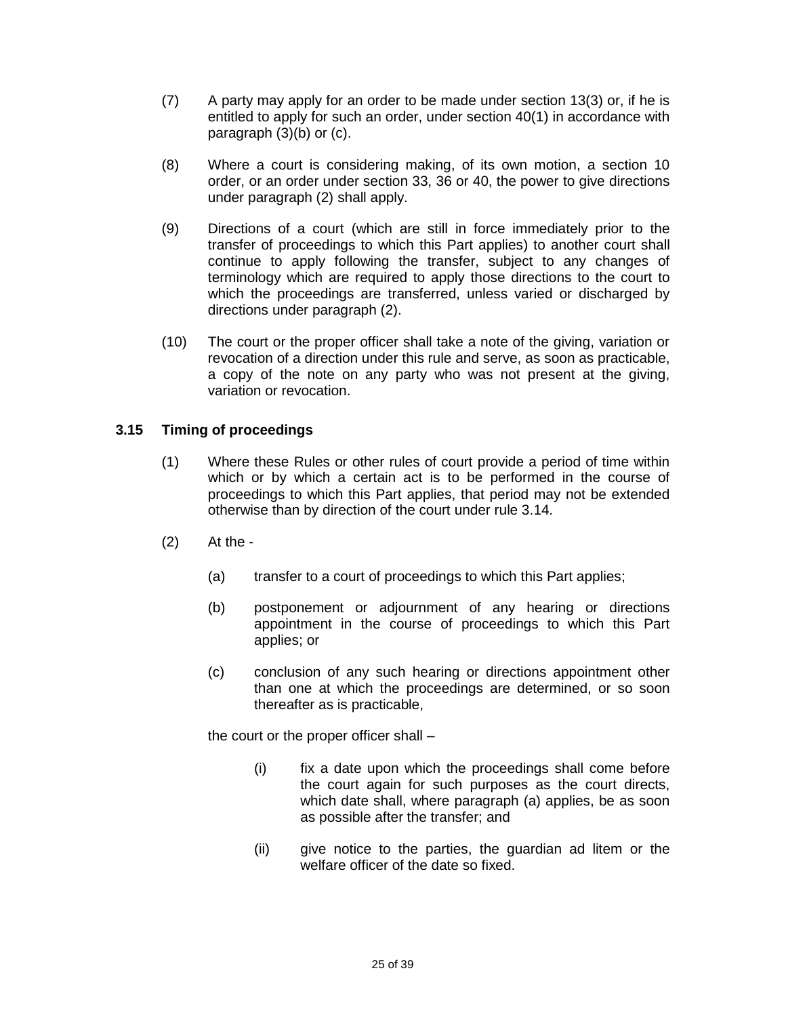- (7) A party may apply for an order to be made under section 13(3) or, if he is entitled to apply for such an order, under section 40(1) in accordance with paragraph (3)(b) or (c).
- (8) Where a court is considering making, of its own motion, a section 10 order, or an order under section 33, 36 or 40, the power to give directions under paragraph (2) shall apply.
- (9) Directions of a court (which are still in force immediately prior to the transfer of proceedings to which this Part applies) to another court shall continue to apply following the transfer, subject to any changes of terminology which are required to apply those directions to the court to which the proceedings are transferred, unless varied or discharged by directions under paragraph (2).
- (10) The court or the proper officer shall take a note of the giving, variation or revocation of a direction under this rule and serve, as soon as practicable, a copy of the note on any party who was not present at the giving, variation or revocation.

## **3.15 Timing of proceedings**

- (1) Where these Rules or other rules of court provide a period of time within which or by which a certain act is to be performed in the course of proceedings to which this Part applies, that period may not be extended otherwise than by direction of the court under rule 3.14.
- (2) At the
	- (a) transfer to a court of proceedings to which this Part applies;
	- (b) postponement or adjournment of any hearing or directions appointment in the course of proceedings to which this Part applies; or
	- (c) conclusion of any such hearing or directions appointment other than one at which the proceedings are determined, or so soon thereafter as is practicable,

the court or the proper officer shall –

- (i) fix a date upon which the proceedings shall come before the court again for such purposes as the court directs, which date shall, where paragraph (a) applies, be as soon as possible after the transfer; and
- (ii) give notice to the parties, the guardian ad litem or the welfare officer of the date so fixed.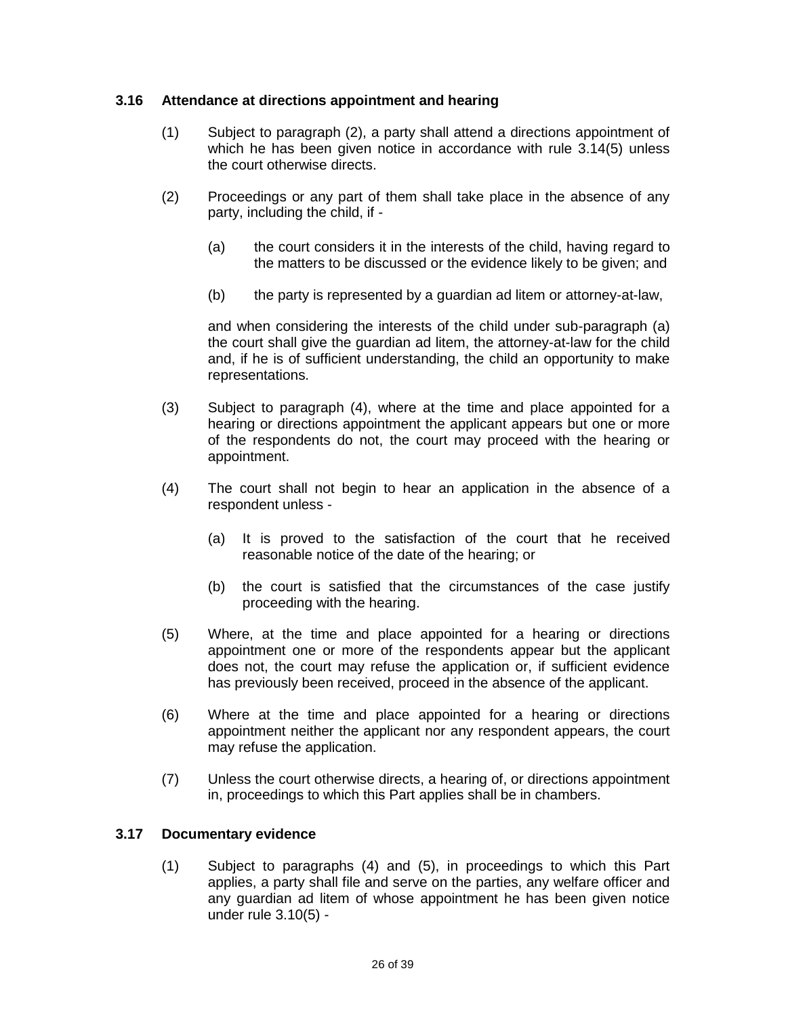### **3.16 Attendance at directions appointment and hearing**

- (1) Subject to paragraph (2), a party shall attend a directions appointment of which he has been given notice in accordance with rule 3.14(5) unless the court otherwise directs.
- (2) Proceedings or any part of them shall take place in the absence of any party, including the child, if -
	- (a) the court considers it in the interests of the child, having regard to the matters to be discussed or the evidence likely to be given; and
	- (b) the party is represented by a guardian ad litem or attorney-at-law,

and when considering the interests of the child under sub-paragraph (a) the court shall give the guardian ad litem, the attorney-at-law for the child and, if he is of sufficient understanding, the child an opportunity to make representations.

- (3) Subject to paragraph (4), where at the time and place appointed for a hearing or directions appointment the applicant appears but one or more of the respondents do not, the court may proceed with the hearing or appointment.
- (4) The court shall not begin to hear an application in the absence of a respondent unless -
	- (a) It is proved to the satisfaction of the court that he received reasonable notice of the date of the hearing; or
	- (b) the court is satisfied that the circumstances of the case justify proceeding with the hearing.
- (5) Where, at the time and place appointed for a hearing or directions appointment one or more of the respondents appear but the applicant does not, the court may refuse the application or, if sufficient evidence has previously been received, proceed in the absence of the applicant.
- (6) Where at the time and place appointed for a hearing or directions appointment neither the applicant nor any respondent appears, the court may refuse the application.
- (7) Unless the court otherwise directs, a hearing of, or directions appointment in, proceedings to which this Part applies shall be in chambers.

### **3.17 Documentary evidence**

(1) Subject to paragraphs (4) and (5), in proceedings to which this Part applies, a party shall file and serve on the parties, any welfare officer and any guardian ad litem of whose appointment he has been given notice under rule 3.10(5) -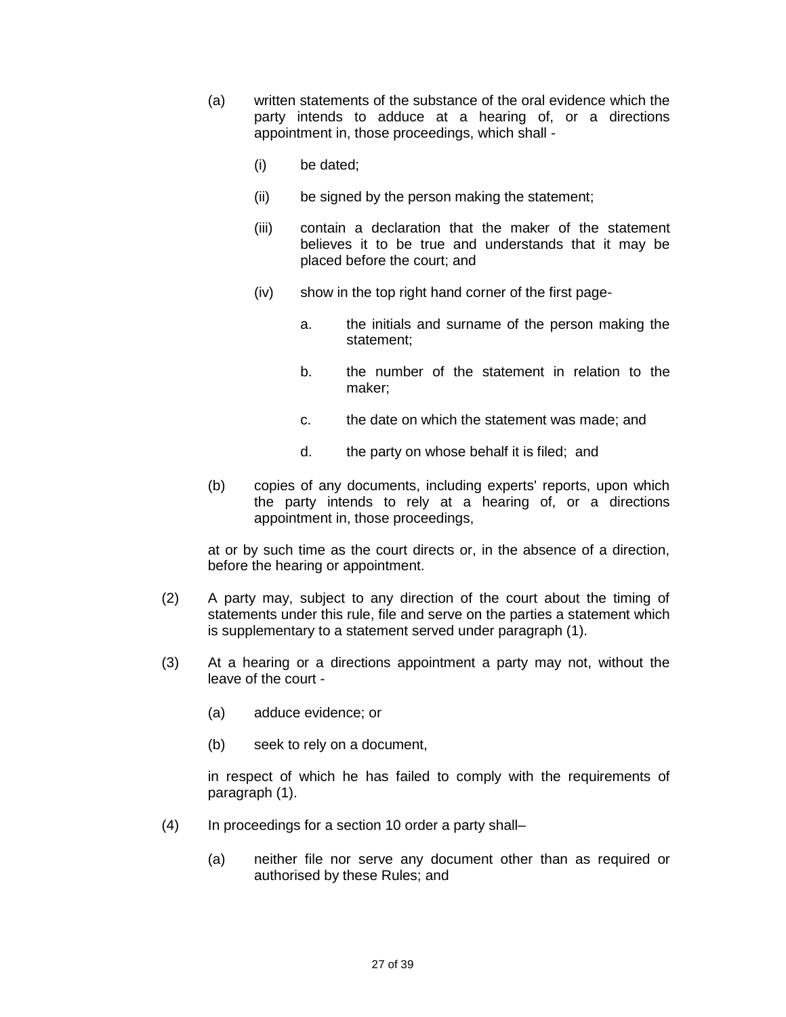- (a) written statements of the substance of the oral evidence which the party intends to adduce at a hearing of, or a directions appointment in, those proceedings, which shall -
	- (i) be dated;
	- (ii) be signed by the person making the statement;
	- (iii) contain a declaration that the maker of the statement believes it to be true and understands that it may be placed before the court; and
	- (iv) show in the top right hand corner of the first page
		- a. the initials and surname of the person making the statement;
		- b. the number of the statement in relation to the maker;
		- c. the date on which the statement was made; and
		- d. the party on whose behalf it is filed; and
- (b) copies of any documents, including experts' reports, upon which the party intends to rely at a hearing of, or a directions appointment in, those proceedings,

at or by such time as the court directs or, in the absence of a direction, before the hearing or appointment.

- (2) A party may, subject to any direction of the court about the timing of statements under this rule, file and serve on the parties a statement which is supplementary to a statement served under paragraph (1).
- (3) At a hearing or a directions appointment a party may not, without the leave of the court -
	- (a) adduce evidence; or
	- (b) seek to rely on a document,

in respect of which he has failed to comply with the requirements of paragraph (1).

- (4) In proceedings for a section 10 order a party shall–
	- (a) neither file nor serve any document other than as required or authorised by these Rules; and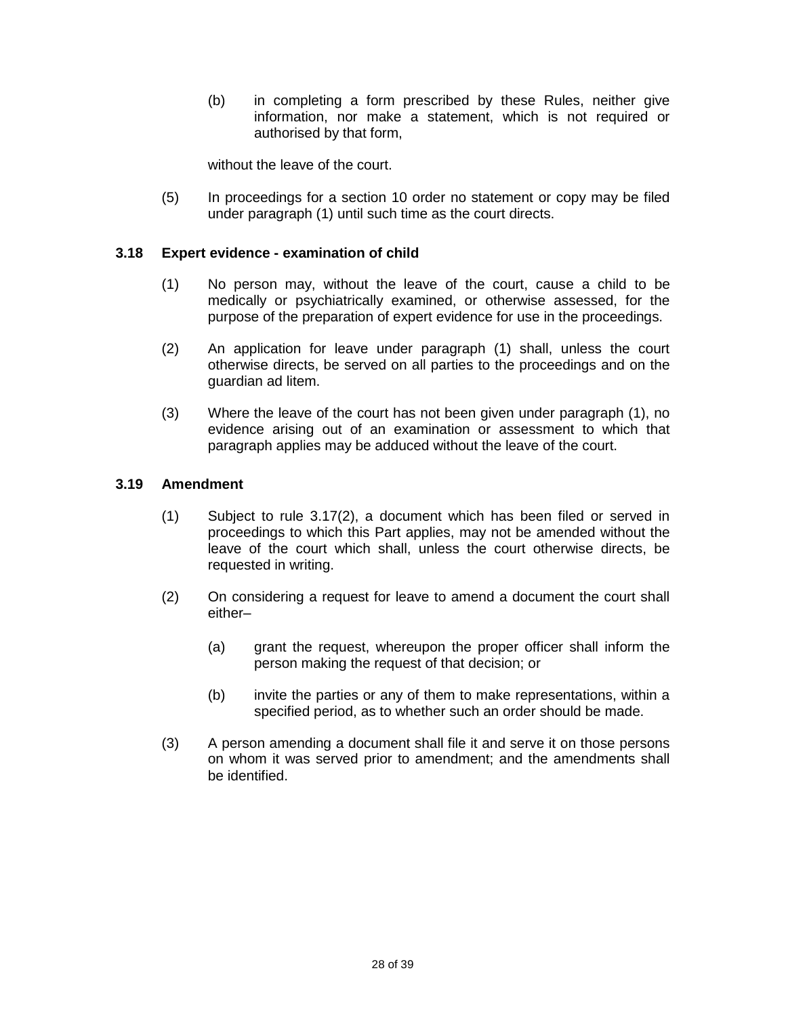(b) in completing a form prescribed by these Rules, neither give information, nor make a statement, which is not required or authorised by that form,

without the leave of the court.

(5) In proceedings for a section 10 order no statement or copy may be filed under paragraph (1) until such time as the court directs.

#### **3.18 Expert evidence - examination of child**

- (1) No person may, without the leave of the court, cause a child to be medically or psychiatrically examined, or otherwise assessed, for the purpose of the preparation of expert evidence for use in the proceedings.
- (2) An application for leave under paragraph (1) shall, unless the court otherwise directs, be served on all parties to the proceedings and on the guardian ad litem.
- (3) Where the leave of the court has not been given under paragraph (1), no evidence arising out of an examination or assessment to which that paragraph applies may be adduced without the leave of the court.

### **3.19 Amendment**

- (1) Subject to rule 3.17(2), a document which has been filed or served in proceedings to which this Part applies, may not be amended without the leave of the court which shall, unless the court otherwise directs, be requested in writing.
- (2) On considering a request for leave to amend a document the court shall either–
	- (a) grant the request, whereupon the proper officer shall inform the person making the request of that decision; or
	- (b) invite the parties or any of them to make representations, within a specified period, as to whether such an order should be made.
- (3) A person amending a document shall file it and serve it on those persons on whom it was served prior to amendment; and the amendments shall be identified.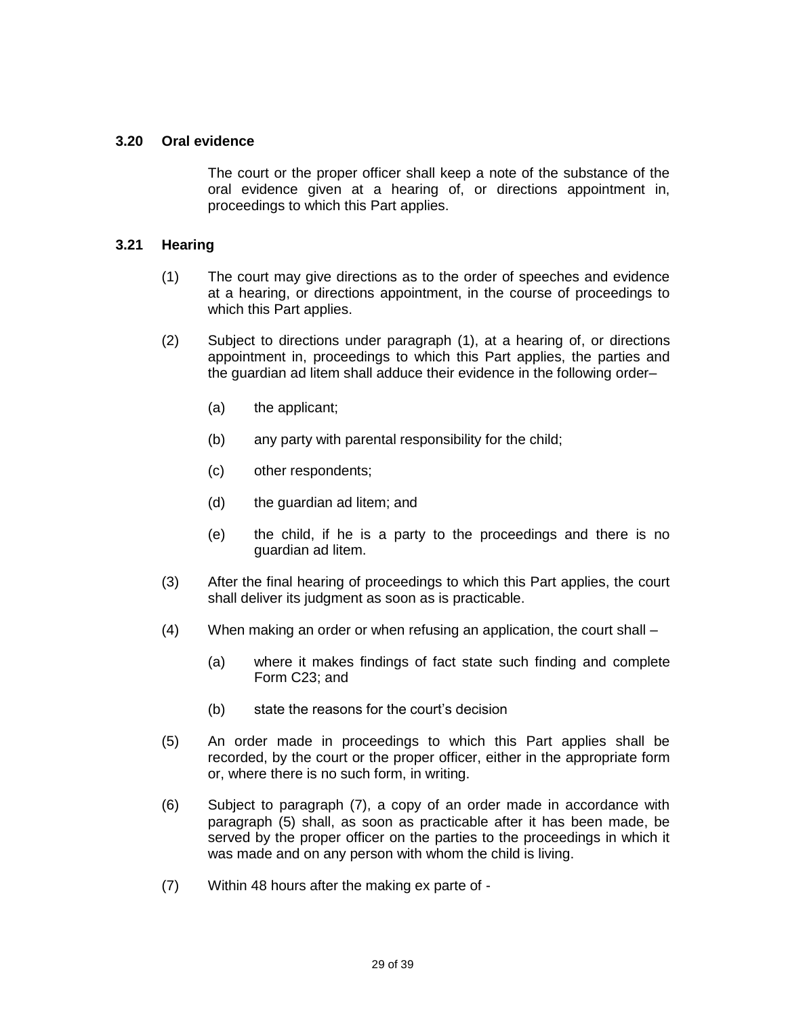#### **3.20 Oral evidence**

The court or the proper officer shall keep a note of the substance of the oral evidence given at a hearing of, or directions appointment in, proceedings to which this Part applies.

#### **3.21 Hearing**

- (1) The court may give directions as to the order of speeches and evidence at a hearing, or directions appointment, in the course of proceedings to which this Part applies.
- (2) Subject to directions under paragraph (1), at a hearing of, or directions appointment in, proceedings to which this Part applies, the parties and the guardian ad litem shall adduce their evidence in the following order–
	- (a) the applicant;
	- (b) any party with parental responsibility for the child;
	- (c) other respondents;
	- (d) the guardian ad litem; and
	- (e) the child, if he is a party to the proceedings and there is no guardian ad litem.
- (3) After the final hearing of proceedings to which this Part applies, the court shall deliver its judgment as soon as is practicable.
- (4) When making an order or when refusing an application, the court shall
	- (a) where it makes findings of fact state such finding and complete Form C23; and
	- (b) state the reasons for the court's decision
- (5) An order made in proceedings to which this Part applies shall be recorded, by the court or the proper officer, either in the appropriate form or, where there is no such form, in writing.
- (6) Subject to paragraph (7), a copy of an order made in accordance with paragraph (5) shall, as soon as practicable after it has been made, be served by the proper officer on the parties to the proceedings in which it was made and on any person with whom the child is living.
- (7) Within 48 hours after the making ex parte of -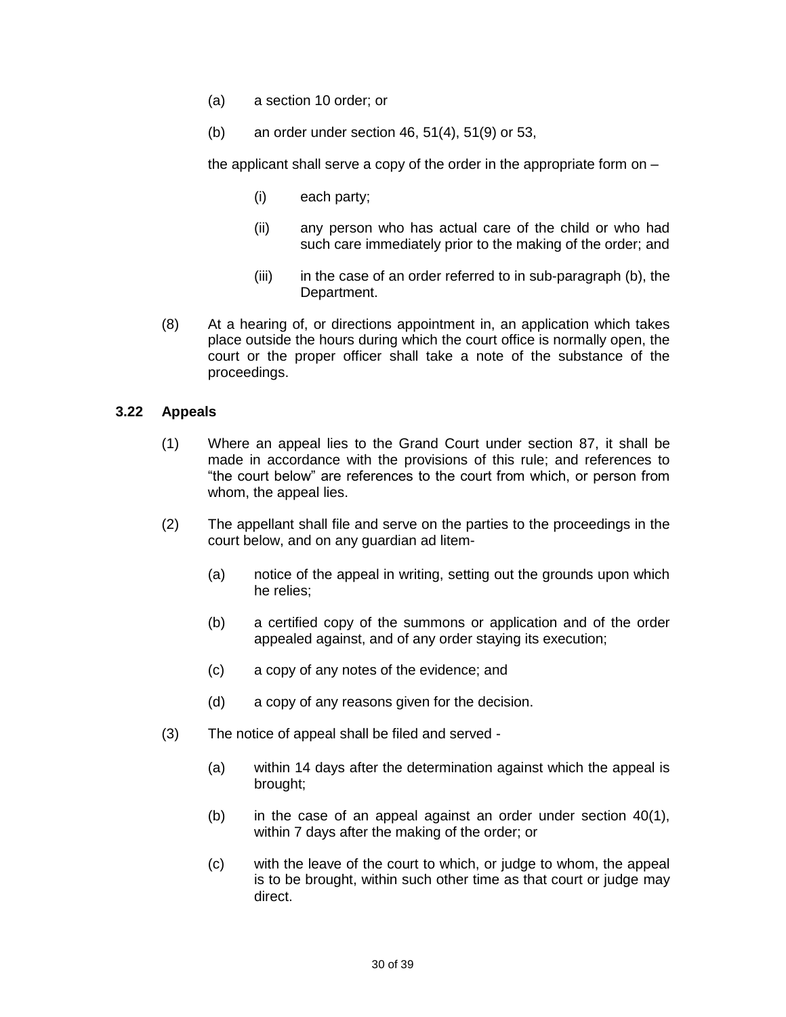- (a) a section 10 order; or
- (b) an order under section 46, 51(4), 51(9) or 53,

the applicant shall serve a copy of the order in the appropriate form on –

- (i) each party;
- (ii) any person who has actual care of the child or who had such care immediately prior to the making of the order; and
- (iii) in the case of an order referred to in sub-paragraph (b), the Department.
- (8) At a hearing of, or directions appointment in, an application which takes place outside the hours during which the court office is normally open, the court or the proper officer shall take a note of the substance of the proceedings.

#### **3.22 Appeals**

- (1) Where an appeal lies to the Grand Court under section 87, it shall be made in accordance with the provisions of this rule; and references to "the court below" are references to the court from which, or person from whom, the appeal lies.
- (2) The appellant shall file and serve on the parties to the proceedings in the court below, and on any guardian ad litem-
	- (a) notice of the appeal in writing, setting out the grounds upon which he relies;
	- (b) a certified copy of the summons or application and of the order appealed against, and of any order staying its execution;
	- (c) a copy of any notes of the evidence; and
	- (d) a copy of any reasons given for the decision.
- (3) The notice of appeal shall be filed and served
	- (a) within 14 days after the determination against which the appeal is brought;
	- (b) in the case of an appeal against an order under section  $40(1)$ , within 7 days after the making of the order; or
	- (c) with the leave of the court to which, or judge to whom, the appeal is to be brought, within such other time as that court or judge may direct.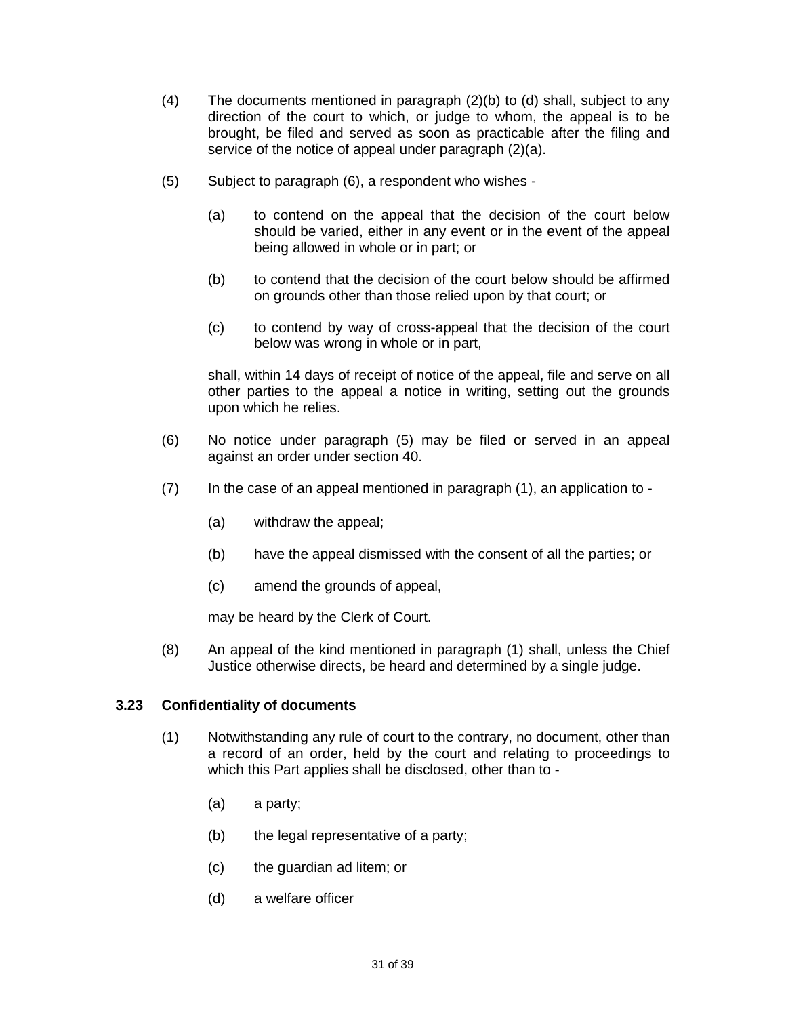- (4) The documents mentioned in paragraph (2)(b) to (d) shall, subject to any direction of the court to which, or judge to whom, the appeal is to be brought, be filed and served as soon as practicable after the filing and service of the notice of appeal under paragraph (2)(a).
- (5) Subject to paragraph (6), a respondent who wishes
	- (a) to contend on the appeal that the decision of the court below should be varied, either in any event or in the event of the appeal being allowed in whole or in part; or
	- (b) to contend that the decision of the court below should be affirmed on grounds other than those relied upon by that court; or
	- (c) to contend by way of cross-appeal that the decision of the court below was wrong in whole or in part,

shall, within 14 days of receipt of notice of the appeal, file and serve on all other parties to the appeal a notice in writing, setting out the grounds upon which he relies.

- (6) No notice under paragraph (5) may be filed or served in an appeal against an order under section 40.
- $(7)$  In the case of an appeal mentioned in paragraph  $(1)$ , an application to -
	- (a) withdraw the appeal;
	- (b) have the appeal dismissed with the consent of all the parties; or
	- (c) amend the grounds of appeal,

may be heard by the Clerk of Court.

(8) An appeal of the kind mentioned in paragraph (1) shall, unless the Chief Justice otherwise directs, be heard and determined by a single judge.

#### **3.23 Confidentiality of documents**

- (1) Notwithstanding any rule of court to the contrary, no document, other than a record of an order, held by the court and relating to proceedings to which this Part applies shall be disclosed, other than to -
	- (a) a party;
	- (b) the legal representative of a party;
	- (c) the guardian ad litem; or
	- (d) a welfare officer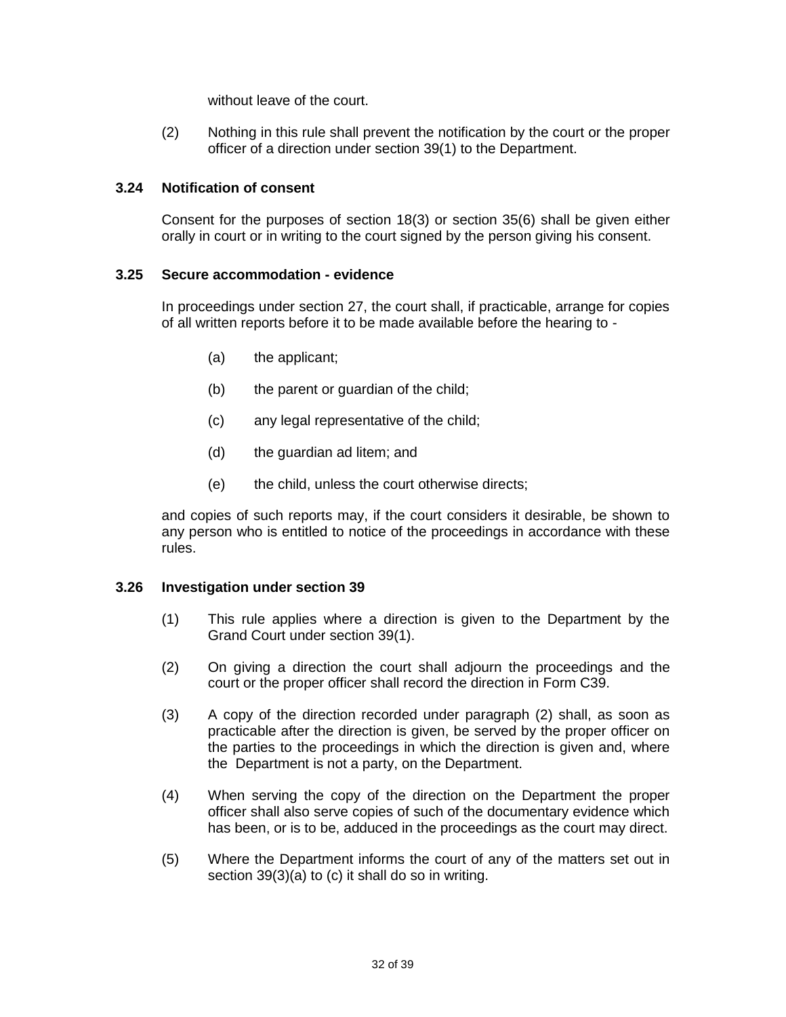without leave of the court.

(2) Nothing in this rule shall prevent the notification by the court or the proper officer of a direction under section 39(1) to the Department.

### **3.24 Notification of consent**

Consent for the purposes of section 18(3) or section 35(6) shall be given either orally in court or in writing to the court signed by the person giving his consent.

#### **3.25 Secure accommodation - evidence**

In proceedings under section 27, the court shall, if practicable, arrange for copies of all written reports before it to be made available before the hearing to -

- (a) the applicant;
- (b) the parent or guardian of the child;
- (c) any legal representative of the child;
- (d) the guardian ad litem; and
- (e) the child, unless the court otherwise directs;

and copies of such reports may, if the court considers it desirable, be shown to any person who is entitled to notice of the proceedings in accordance with these rules.

#### **3.26 Investigation under section 39**

- (1) This rule applies where a direction is given to the Department by the Grand Court under section 39(1).
- (2) On giving a direction the court shall adjourn the proceedings and the court or the proper officer shall record the direction in Form C39.
- (3) A copy of the direction recorded under paragraph (2) shall, as soon as practicable after the direction is given, be served by the proper officer on the parties to the proceedings in which the direction is given and, where the Department is not a party, on the Department.
- (4) When serving the copy of the direction on the Department the proper officer shall also serve copies of such of the documentary evidence which has been, or is to be, adduced in the proceedings as the court may direct.
- (5) Where the Department informs the court of any of the matters set out in section 39(3)(a) to (c) it shall do so in writing.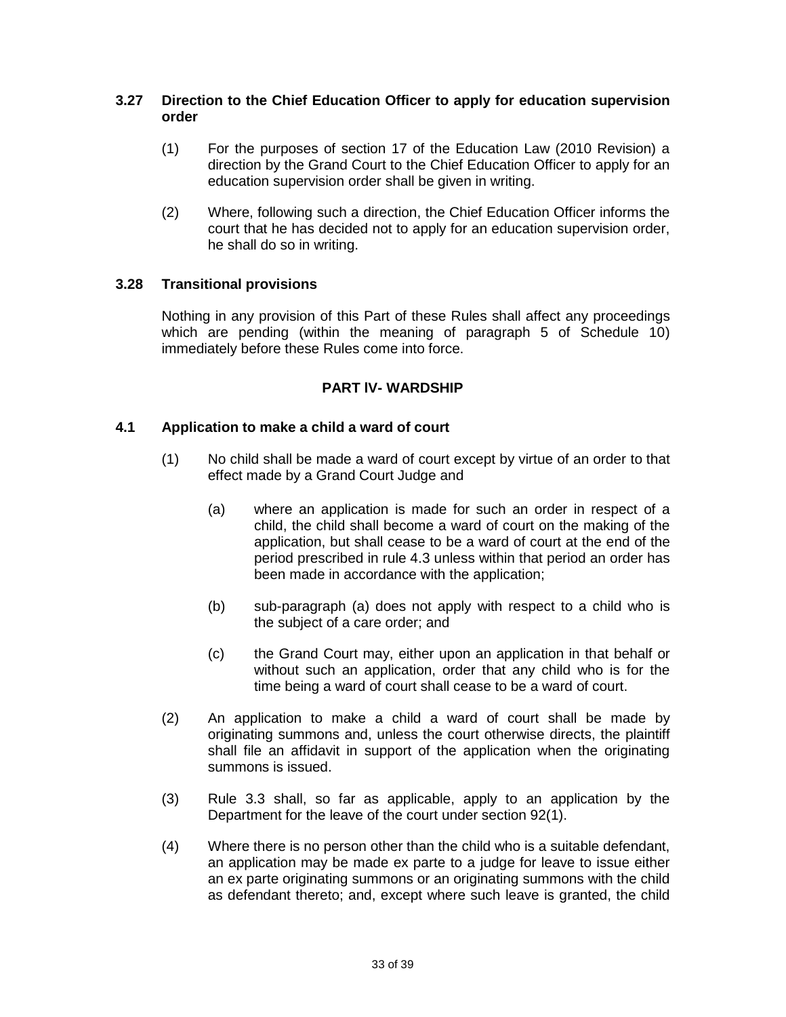### **3.27 Direction to the Chief Education Officer to apply for education supervision order**

- (1) For the purposes of section 17 of the Education Law (2010 Revision) a direction by the Grand Court to the Chief Education Officer to apply for an education supervision order shall be given in writing.
- (2) Where, following such a direction, the Chief Education Officer informs the court that he has decided not to apply for an education supervision order, he shall do so in writing.

### **3.28 Transitional provisions**

Nothing in any provision of this Part of these Rules shall affect any proceedings which are pending (within the meaning of paragraph 5 of Schedule 10) immediately before these Rules come into force.

### **PART lV- WARDSHIP**

### **4.1 Application to make a child a ward of court**

- (1) No child shall be made a ward of court except by virtue of an order to that effect made by a Grand Court Judge and
	- (a) where an application is made for such an order in respect of a child, the child shall become a ward of court on the making of the application, but shall cease to be a ward of court at the end of the period prescribed in rule 4.3 unless within that period an order has been made in accordance with the application;
	- (b) sub-paragraph (a) does not apply with respect to a child who is the subject of a care order; and
	- (c) the Grand Court may, either upon an application in that behalf or without such an application, order that any child who is for the time being a ward of court shall cease to be a ward of court.
- (2) An application to make a child a ward of court shall be made by originating summons and, unless the court otherwise directs, the plaintiff shall file an affidavit in support of the application when the originating summons is issued.
- (3) Rule 3.3 shall, so far as applicable, apply to an application by the Department for the leave of the court under section 92(1).
- (4) Where there is no person other than the child who is a suitable defendant, an application may be made ex parte to a judge for leave to issue either an ex parte originating summons or an originating summons with the child as defendant thereto; and, except where such leave is granted, the child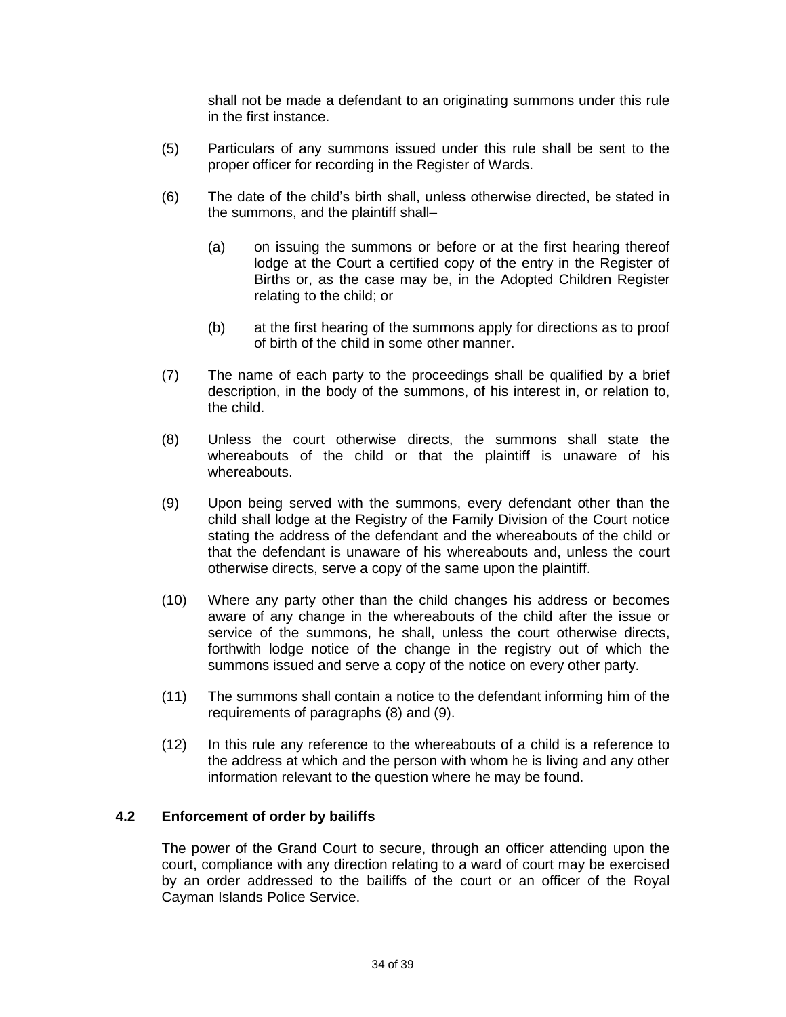shall not be made a defendant to an originating summons under this rule in the first instance.

- (5) Particulars of any summons issued under this rule shall be sent to the proper officer for recording in the Register of Wards.
- (6) The date of the child's birth shall, unless otherwise directed, be stated in the summons, and the plaintiff shall–
	- (a) on issuing the summons or before or at the first hearing thereof lodge at the Court a certified copy of the entry in the Register of Births or, as the case may be, in the Adopted Children Register relating to the child; or
	- (b) at the first hearing of the summons apply for directions as to proof of birth of the child in some other manner.
- (7) The name of each party to the proceedings shall be qualified by a brief description, in the body of the summons, of his interest in, or relation to, the child.
- (8) Unless the court otherwise directs, the summons shall state the whereabouts of the child or that the plaintiff is unaware of his whereabouts.
- (9) Upon being served with the summons, every defendant other than the child shall lodge at the Registry of the Family Division of the Court notice stating the address of the defendant and the whereabouts of the child or that the defendant is unaware of his whereabouts and, unless the court otherwise directs, serve a copy of the same upon the plaintiff.
- (10) Where any party other than the child changes his address or becomes aware of any change in the whereabouts of the child after the issue or service of the summons, he shall, unless the court otherwise directs, forthwith lodge notice of the change in the registry out of which the summons issued and serve a copy of the notice on every other party.
- (11) The summons shall contain a notice to the defendant informing him of the requirements of paragraphs (8) and (9).
- (12) In this rule any reference to the whereabouts of a child is a reference to the address at which and the person with whom he is living and any other information relevant to the question where he may be found.

### **4.2 Enforcement of order by bailiffs**

The power of the Grand Court to secure, through an officer attending upon the court, compliance with any direction relating to a ward of court may be exercised by an order addressed to the bailiffs of the court or an officer of the Royal Cayman Islands Police Service.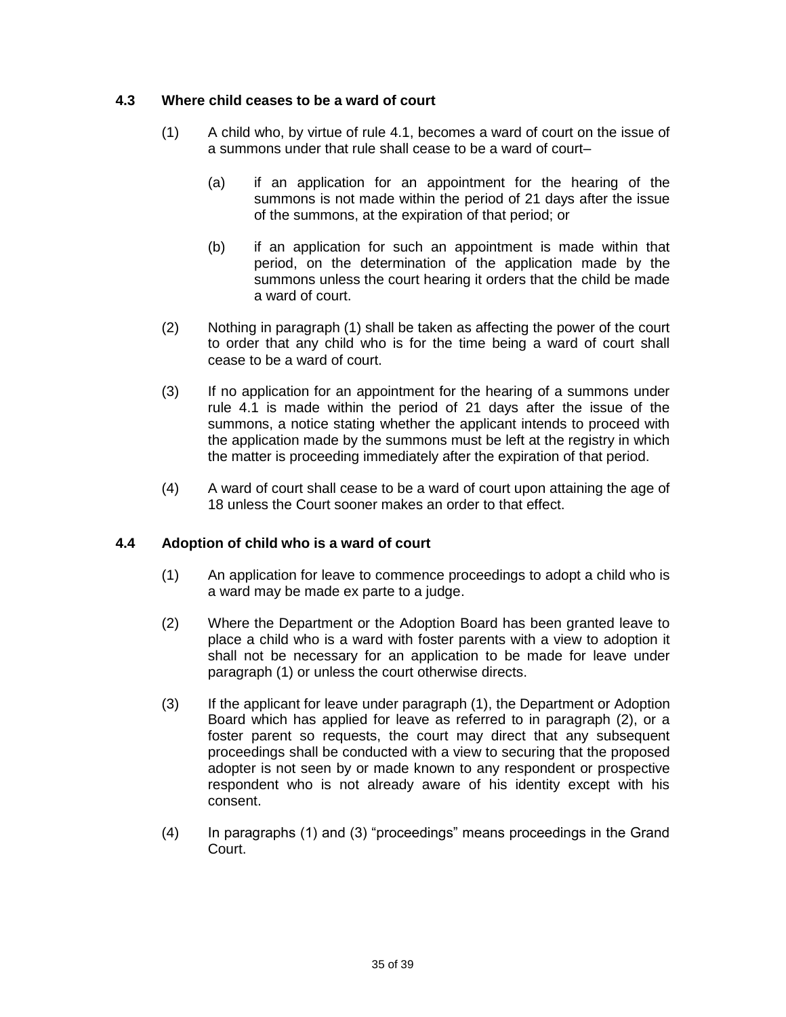### **4.3 Where child ceases to be a ward of court**

- (1) A child who, by virtue of rule 4.1, becomes a ward of court on the issue of a summons under that rule shall cease to be a ward of court–
	- (a) if an application for an appointment for the hearing of the summons is not made within the period of 21 days after the issue of the summons, at the expiration of that period; or
	- (b) if an application for such an appointment is made within that period, on the determination of the application made by the summons unless the court hearing it orders that the child be made a ward of court.
- (2) Nothing in paragraph (1) shall be taken as affecting the power of the court to order that any child who is for the time being a ward of court shall cease to be a ward of court.
- (3) If no application for an appointment for the hearing of a summons under rule 4.1 is made within the period of 21 days after the issue of the summons, a notice stating whether the applicant intends to proceed with the application made by the summons must be left at the registry in which the matter is proceeding immediately after the expiration of that period.
- (4) A ward of court shall cease to be a ward of court upon attaining the age of 18 unless the Court sooner makes an order to that effect.

### **4.4 Adoption of child who is a ward of court**

- (1) An application for leave to commence proceedings to adopt a child who is a ward may be made ex parte to a judge.
- (2) Where the Department or the Adoption Board has been granted leave to place a child who is a ward with foster parents with a view to adoption it shall not be necessary for an application to be made for leave under paragraph (1) or unless the court otherwise directs.
- (3) If the applicant for leave under paragraph (1), the Department or Adoption Board which has applied for leave as referred to in paragraph (2), or a foster parent so requests, the court may direct that any subsequent proceedings shall be conducted with a view to securing that the proposed adopter is not seen by or made known to any respondent or prospective respondent who is not already aware of his identity except with his consent.
- (4) In paragraphs (1) and (3) "proceedings" means proceedings in the Grand Court.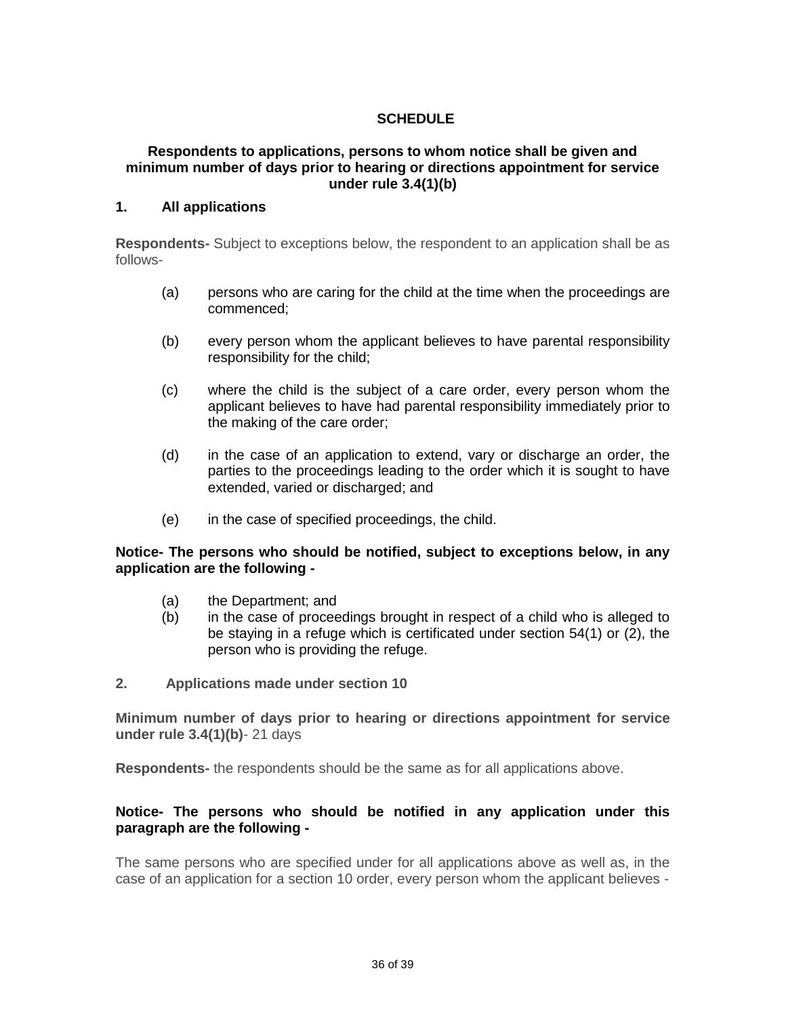# **SCHEDULE**

#### **Respondents to applications, persons to whom notice shall be given and minimum number of days prior to hearing or directions appointment for service under rule 3.4(1)(b)**

#### **1. All applications**

**Respondents-** Subject to exceptions below, the respondent to an application shall be as follows-

- (a) persons who are caring for the child at the time when the proceedings are commenced;
- (b) every person whom the applicant believes to have parental responsibility responsibility for the child;
- (c) where the child is the subject of a care order, every person whom the applicant believes to have had parental responsibility immediately prior to the making of the care order;
- (d) in the case of an application to extend, vary or discharge an order, the parties to the proceedings leading to the order which it is sought to have extended, varied or discharged; and
- (e) in the case of specified proceedings, the child.

#### **Notice- The persons who should be notified, subject to exceptions below, in any application are the following -**

- (a) the Department; and
- (b) in the case of proceedings brought in respect of a child who is alleged to be staying in a refuge which is certificated under section 54(1) or (2), the person who is providing the refuge.
- **2. Applications made under section 10**

**Minimum number of days prior to hearing or directions appointment for service under rule 3.4(1)(b)**- 21 days

**Respondents-** the respondents should be the same as for all applications above.

#### **Notice- The persons who should be notified in any application under this paragraph are the following -**

The same persons who are specified under for all applications above as well as, in the case of an application for a section 10 order, every person whom the applicant believes -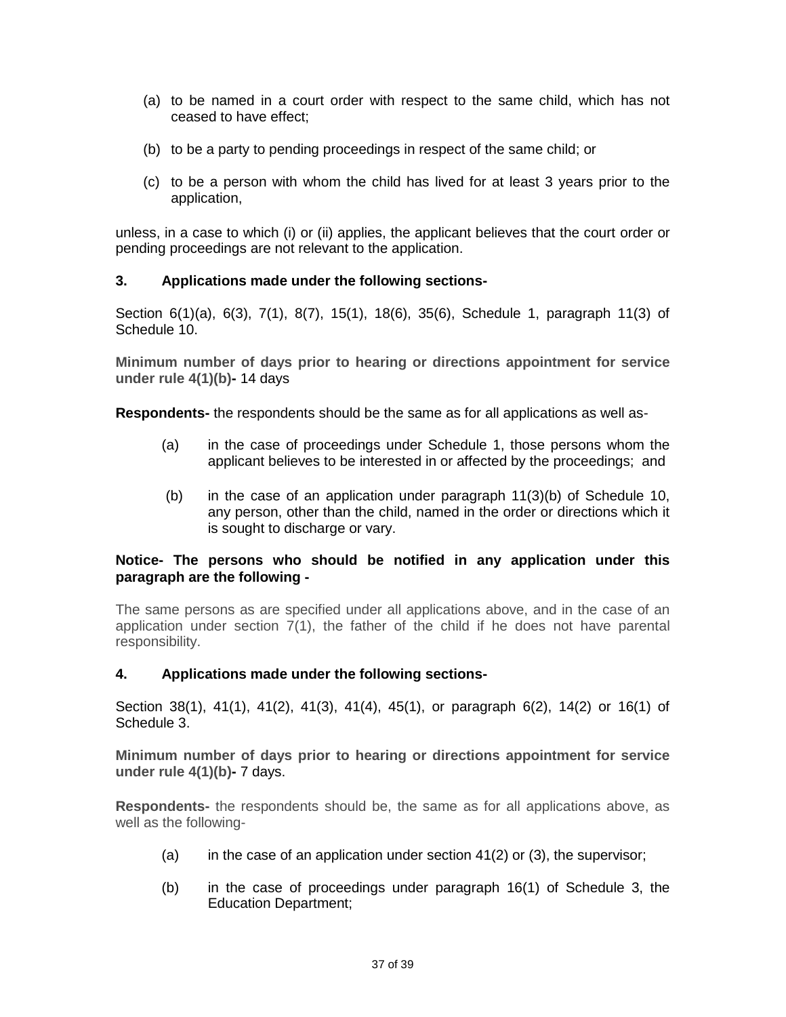- (a) to be named in a court order with respect to the same child, which has not ceased to have effect;
- (b) to be a party to pending proceedings in respect of the same child; or
- (c) to be a person with whom the child has lived for at least 3 years prior to the application,

unless, in a case to which (i) or (ii) applies, the applicant believes that the court order or pending proceedings are not relevant to the application.

#### **3. Applications made under the following sections-**

Section 6(1)(a), 6(3), 7(1), 8(7), 15(1), 18(6), 35(6), Schedule 1, paragraph 11(3) of Schedule 10.

**Minimum number of days prior to hearing or directions appointment for service under rule 4(1)(b)-** 14 days

**Respondents-** the respondents should be the same as for all applications as well as-

- (a) in the case of proceedings under Schedule 1, those persons whom the applicant believes to be interested in or affected by the proceedings; and
- (b) in the case of an application under paragraph  $11(3)(b)$  of Schedule 10, any person, other than the child, named in the order or directions which it is sought to discharge or vary.

#### **Notice- The persons who should be notified in any application under this paragraph are the following -**

The same persons as are specified under all applications above, and in the case of an application under section 7(1), the father of the child if he does not have parental responsibility.

#### **4. Applications made under the following sections-**

Section 38(1), 41(1), 41(2), 41(3), 41(4), 45(1), or paragraph 6(2), 14(2) or 16(1) of Schedule 3.

**Minimum number of days prior to hearing or directions appointment for service under rule 4(1)(b)-** 7 days.

**Respondents-** the respondents should be, the same as for all applications above, as well as the following-

- (a) in the case of an application under section  $41(2)$  or  $(3)$ , the supervisor;
- (b) in the case of proceedings under paragraph 16(1) of Schedule 3, the Education Department;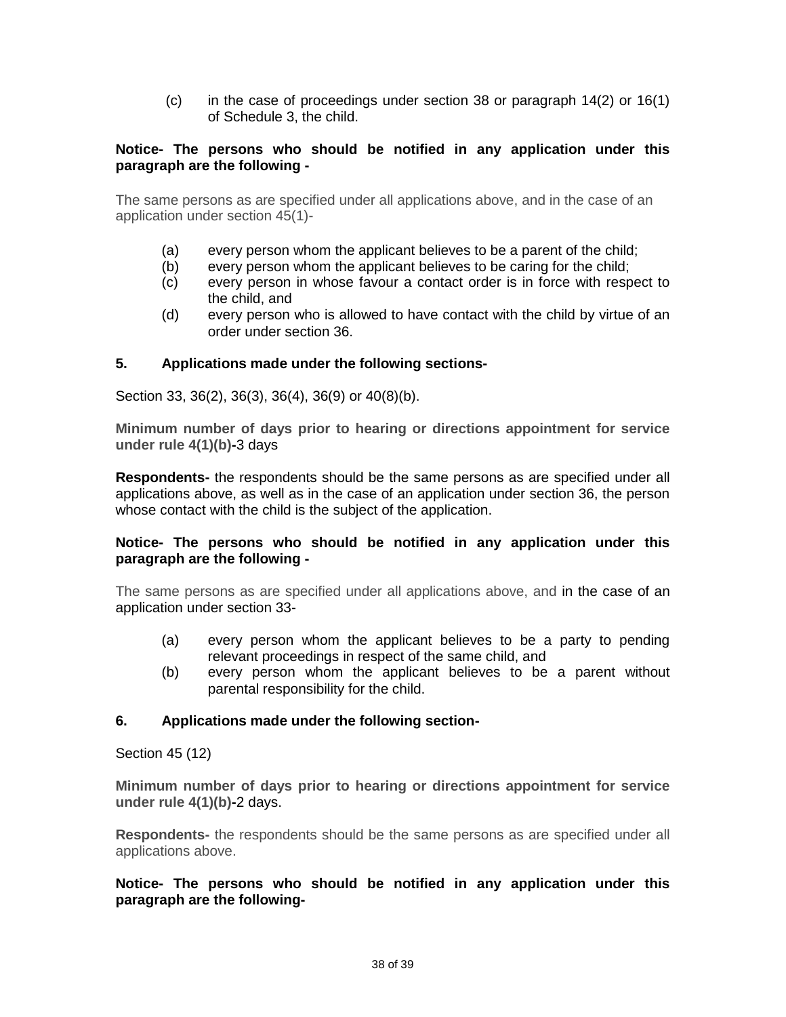(c) in the case of proceedings under section 38 or paragraph 14(2) or 16(1) of Schedule 3, the child.

#### **Notice- The persons who should be notified in any application under this paragraph are the following -**

The same persons as are specified under all applications above, and in the case of an application under section 45(1)-

- (a) every person whom the applicant believes to be a parent of the child;
- (b) every person whom the applicant believes to be caring for the child;
- (c) every person in whose favour a contact order is in force with respect to the child, and
- (d) every person who is allowed to have contact with the child by virtue of an order under section 36.

#### **5. Applications made under the following sections-**

Section 33, 36(2), 36(3), 36(4), 36(9) or 40(8)(b).

**Minimum number of days prior to hearing or directions appointment for service under rule 4(1)(b)-**3 days

**Respondents-** the respondents should be the same persons as are specified under all applications above, as well as in the case of an application under section 36, the person whose contact with the child is the subject of the application.

#### **Notice- The persons who should be notified in any application under this paragraph are the following -**

The same persons as are specified under all applications above, and in the case of an application under section 33-

- (a) every person whom the applicant believes to be a party to pending relevant proceedings in respect of the same child, and
- (b) every person whom the applicant believes to be a parent without parental responsibility for the child.

#### **6. Applications made under the following section-**

Section 45 (12)

**Minimum number of days prior to hearing or directions appointment for service under rule 4(1)(b)-**2 days.

**Respondents-** the respondents should be the same persons as are specified under all applications above.

**Notice- The persons who should be notified in any application under this paragraph are the following-**